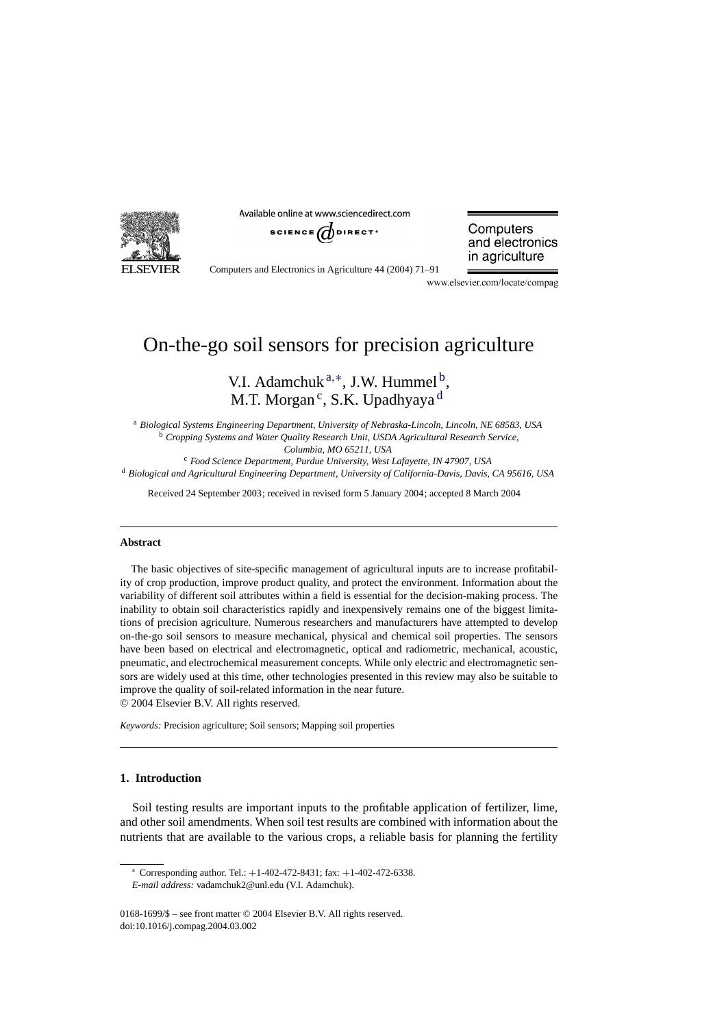**EI SEVIER** 

Available online at www.sciencedirect.com



**Computers** and electronics in agriculture

Computers and Electronics in Agriculture 44 (2004) 71–91

www.elsevier.com/locate/compag

# On-the-go soil sensors for precision agriculture

V.I. Adamchuk  $a, *$ , J.W. Hummel  $b$ , M.T. Morgan<sup>c</sup>, S.K. Upadhyaya<sup>d</sup>

<sup>a</sup> *Biological Systems Engineering Department, University of Nebraska-Lincoln, Lincoln, NE 68583, USA* <sup>b</sup> *Cropping Systems and Water Quality Research Unit, USDA Agricultural Research Service, Columbia, MO 65211, USA*

<sup>c</sup> *Food Science Department, Purdue University, West Lafayette, IN 47907, USA* <sup>d</sup> *Biological and Agricultural Engineering Department, University of California-Davis, Davis, CA 95616, USA*

Received 24 September 2003; received in revised form 5 January 2004; accepted 8 March 2004

#### **Abstract**

The basic objectives of site-specific management of agricultural inputs are to increase profitability of crop production, improve product quality, and protect the environment. Information about the variability of different soil attributes within a field is essential for the decision-making process. The inability to obtain soil characteristics rapidly and inexpensively remains one of the biggest limitations of precision agriculture. Numerous researchers and manufacturers have attempted to develop on-the-go soil sensors to measure mechanical, physical and chemical soil properties. The sensors have been based on electrical and electromagnetic, optical and radiometric, mechanical, acoustic, pneumatic, and electrochemical measurement concepts. While only electric and electromagnetic sensors are widely used at this time, other technologies presented in this review may also be suitable to improve the quality of soil-related information in the near future. © 2004 Elsevier B.V. All rights reserved.

*Keywords:* Precision agriculture; Soil sensors; Mapping soil properties

## **1. Introduction**

Soil testing results are important inputs to the profitable application of fertilizer, lime, and other soil amendments. When soil test results are combined with information about the nutrients that are available to the various crops, a reliable basis for planning the fertility

 $*$  Corresponding author. Tel.:  $+1-402-472-8431$ ; fax:  $+1-402-472-6338$ .

*E-mail address:* vadamchuk2@unl.edu (V.I. Adamchuk).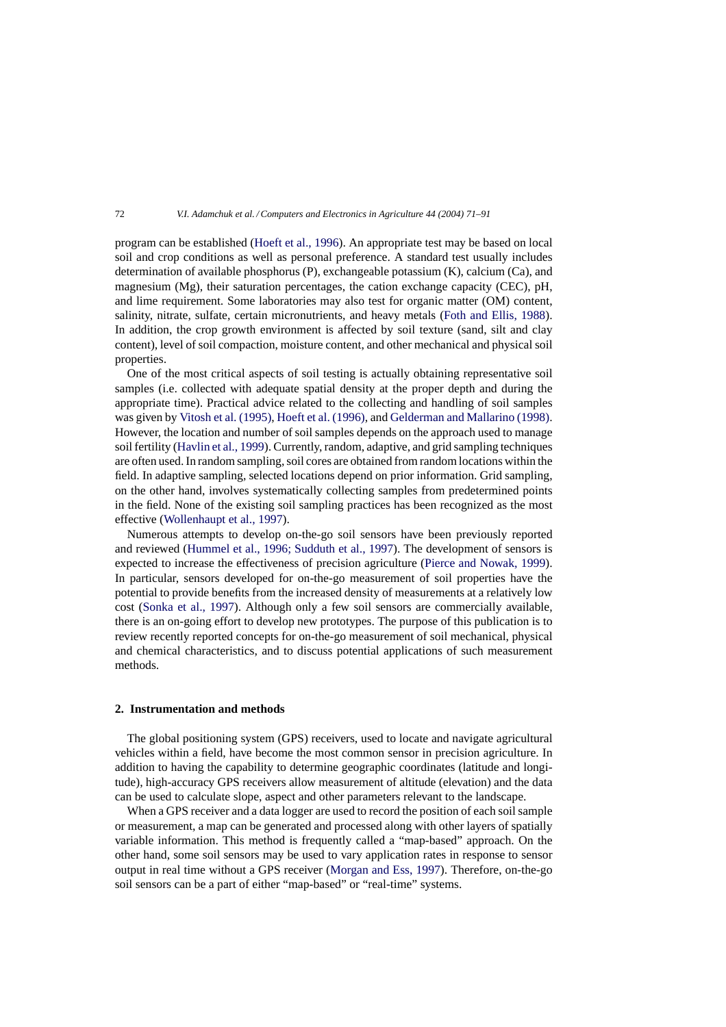program can be established [\(Hoeft et al., 1996\).](#page-18-0) An appropriate test may be based on local soil and crop conditions as well as personal preference. A standard test usually includes determination of available phosphorus (P), exchangeable potassium (K), calcium (Ca), and magnesium (Mg), their saturation percentages, the cation exchange capacity (CEC), pH, and lime requirement. Some laboratories may also test for organic matter (OM) content, salinity, nitrate, sulfate, certain micronutrients, and heavy metals ([Foth and Ellis, 1988\)](#page-18-0). In addition, the crop growth environment is affected by soil texture (sand, silt and clay content), level of soil compaction, moisture content, and other mechanical and physical soil properties.

One of the most critical aspects of soil testing is actually obtaining representative soil samples (i.e. collected with adequate spatial density at the proper depth and during the appropriate time). Practical advice related to the collecting and handling of soil samples was given by [Vitosh et al. \(1995\),](#page-20-0) [Hoeft et al. \(1996\), a](#page-18-0)nd [Gelderman and Mallarino \(1998\).](#page-18-0) However, the location and number of soil samples depends on the approach used to manage soil fertility [\(Havlin et al., 1999\).](#page-18-0) Currently, random, adaptive, and grid sampling techniques are often used. In random sampling, soil cores are obtained from random locations within the field. In adaptive sampling, selected locations depend on prior information. Grid sampling, on the other hand, involves systematically collecting samples from predetermined points in the field. None of the existing soil sampling practices has been recognized as the most effective [\(Wollenhaupt et al., 1997\).](#page-20-0)

Numerous attempts to develop on-the-go soil sensors have been previously reported and reviewed [\(Hummel et al., 1996; Sudduth et al., 1997\)](#page-18-0). The development of sensors is expected to increase the effectiveness of precision agriculture [\(Pierce and Nowak, 1999\).](#page-19-0) In particular, sensors developed for on-the-go measurement of soil properties have the potential to provide benefits from the increased density of measurements at a relatively low cost [\(Sonka et al., 1997\)](#page-19-0). Although only a few soil sensors are commercially available, there is an on-going effort to develop new prototypes. The purpose of this publication is to review recently reported concepts for on-the-go measurement of soil mechanical, physical and chemical characteristics, and to discuss potential applications of such measurement methods.

#### **2. Instrumentation and methods**

The global positioning system (GPS) receivers, used to locate and navigate agricultural vehicles within a field, have become the most common sensor in precision agriculture. In addition to having the capability to determine geographic coordinates (latitude and longitude), high-accuracy GPS receivers allow measurement of altitude (elevation) and the data can be used to calculate slope, aspect and other parameters relevant to the landscape.

When a GPS receiver and a data logger are used to record the position of each soil sample or measurement, a map can be generated and processed along with other layers of spatially variable information. This method is frequently called a "map-based" approach. On the other hand, some soil sensors may be used to vary application rates in response to sensor output in real time without a GPS receiver ([Morgan and Ess, 1997\).](#page-19-0) Therefore, on-the-go soil sensors can be a part of either "map-based" or "real-time" systems.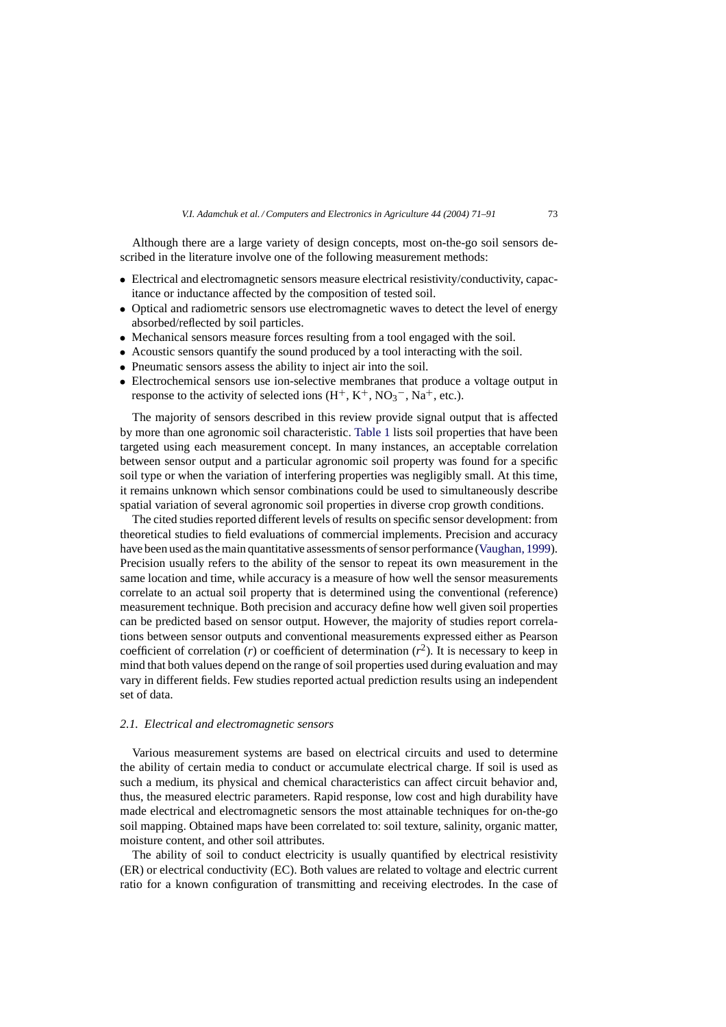Although there are a large variety of design concepts, most on-the-go soil sensors described in the literature involve one of the following measurement methods:

- Electrical and electromagnetic sensors measure electrical resistivity/conductivity, capacitance or inductance affected by the composition of tested soil.
- Optical and radiometric sensors use electromagnetic waves to detect the level of energy absorbed/reflected by soil particles.
- Mechanical sensors measure forces resulting from a tool engaged with the soil.
- Acoustic sensors quantify the sound produced by a tool interacting with the soil.
- Pneumatic sensors assess the ability to inject air into the soil.
- Electrochemical sensors use ion-selective membranes that produce a voltage output in response to the activity of selected ions  $(H^+, K^+, NO_3^-, Na^+, etc.).$

The majority of sensors described in this review provide signal output that is affected by more than one agronomic soil characteristic. [Table 1](#page-3-0) lists soil properties that have been targeted using each measurement concept. In many instances, an acceptable correlation between sensor output and a particular agronomic soil property was found for a specific soil type or when the variation of interfering properties was negligibly small. At this time, it remains unknown which sensor combinations could be used to simultaneously describe spatial variation of several agronomic soil properties in diverse crop growth conditions.

The cited studies reported different levels of results on specific sensor development: from theoretical studies to field evaluations of commercial implements. Precision and accuracy have been used as the main quantitative assessments of sensor performance ([Vaughan, 1999\).](#page-20-0) Precision usually refers to the ability of the sensor to repeat its own measurement in the same location and time, while accuracy is a measure of how well the sensor measurements correlate to an actual soil property that is determined using the conventional (reference) measurement technique. Both precision and accuracy define how well given soil properties can be predicted based on sensor output. However, the majority of studies report correlations between sensor outputs and conventional measurements expressed either as Pearson coefficient of correlation (*r*) or coefficient of determination  $(r^2)$ . It is necessary to keep in mind that both values depend on the range of soil properties used during evaluation and may vary in different fields. Few studies reported actual prediction results using an independent set of data.

#### *2.1. Electrical and electromagnetic sensors*

Various measurement systems are based on electrical circuits and used to determine the ability of certain media to conduct or accumulate electrical charge. If soil is used as such a medium, its physical and chemical characteristics can affect circuit behavior and, thus, the measured electric parameters. Rapid response, low cost and high durability have made electrical and electromagnetic sensors the most attainable techniques for on-the-go soil mapping. Obtained maps have been correlated to: soil texture, salinity, organic matter, moisture content, and other soil attributes.

The ability of soil to conduct electricity is usually quantified by electrical resistivity (ER) or electrical conductivity (EC). Both values are related to voltage and electric current ratio for a known configuration of transmitting and receiving electrodes. In the case of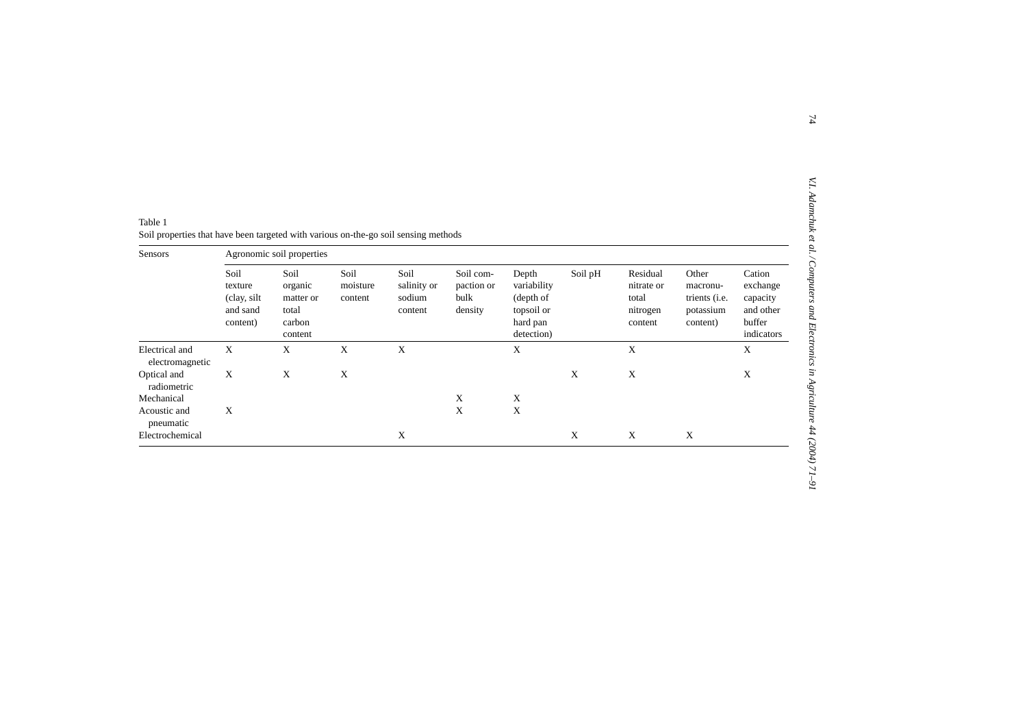<span id="page-3-0"></span>

| Table 1<br>Soil properties that have been targeted with various on-the-go soil sensing methods |                                                         |                                                            |                             |                                          |                                            |                                                                           |         |                                                        |                                                                     |                                                                     |
|------------------------------------------------------------------------------------------------|---------------------------------------------------------|------------------------------------------------------------|-----------------------------|------------------------------------------|--------------------------------------------|---------------------------------------------------------------------------|---------|--------------------------------------------------------|---------------------------------------------------------------------|---------------------------------------------------------------------|
| Sensors                                                                                        | Agronomic soil properties                               |                                                            |                             |                                          |                                            |                                                                           |         |                                                        |                                                                     |                                                                     |
|                                                                                                | Soil<br>texture<br>(clay, silt)<br>and sand<br>content) | Soil<br>organic<br>matter or<br>total<br>carbon<br>content | Soil<br>moisture<br>content | Soil<br>salinity or<br>sodium<br>content | Soil com-<br>paction or<br>bulk<br>density | Depth<br>variability<br>(depth of<br>topsoil or<br>hard pan<br>detection) | Soil pH | Residual<br>nitrate or<br>total<br>nitrogen<br>content | Other<br>macronu-<br>trients ( <i>i.e.</i><br>potassium<br>content) | Cation<br>exchange<br>capacity<br>and other<br>buffer<br>indicators |
| Electrical and<br>electromagnetic                                                              | X                                                       | X                                                          | X                           | X                                        |                                            | $\mathbf X$                                                               |         | X                                                      |                                                                     | X                                                                   |
| Optical and<br>radiometric<br>Mechanical                                                       | X                                                       | X                                                          | X                           |                                          | X                                          | X                                                                         | X       | X                                                      |                                                                     | X                                                                   |
| Acoustic and<br>pneumatic                                                                      | X                                                       |                                                            |                             |                                          | X                                          | $\mathbf X$                                                               |         |                                                        |                                                                     |                                                                     |
| Electrochemical                                                                                |                                                         |                                                            |                             | X                                        |                                            |                                                                           | X       | X                                                      | X                                                                   |                                                                     |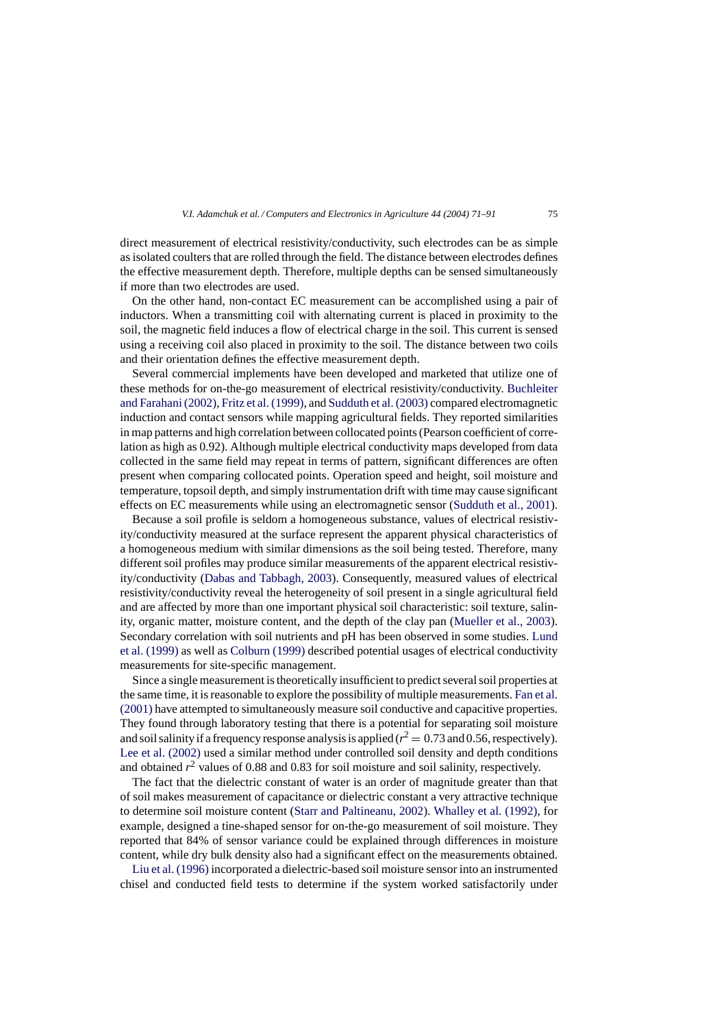direct measurement of electrical resistivity/conductivity, such electrodes can be as simple as isolated coulters that are rolled through the field. The distance between electrodes defines the effective measurement depth. Therefore, multiple depths can be sensed simultaneously if more than two electrodes are used.

On the other hand, non-contact EC measurement can be accomplished using a pair of inductors. When a transmitting coil with alternating current is placed in proximity to the soil, the magnetic field induces a flow of electrical charge in the soil. This current is sensed using a receiving coil also placed in proximity to the soil. The distance between two coils and their orientation defines the effective measurement depth.

Several commercial implements have been developed and marketed that utilize one of these methods for on-the-go measurement of electrical resistivity/conductivity. [Buchleiter](#page-17-0) [and Farahani \(2002\),](#page-17-0) [Fritz et al. \(1999\), a](#page-18-0)nd [Sudduth et al. \(2003\)](#page-20-0) compared electromagnetic induction and contact sensors while mapping agricultural fields. They reported similarities in map patterns and high correlation between collocated points (Pearson coefficient of correlation as high as 0.92). Although multiple electrical conductivity maps developed from data collected in the same field may repeat in terms of pattern, significant differences are often present when comparing collocated points. Operation speed and height, soil moisture and temperature, topsoil depth, and simply instrumentation drift with time may cause significant effects on EC measurements while using an electromagnetic sensor ([Sudduth et al., 2001\).](#page-20-0)

Because a soil profile is seldom a homogeneous substance, values of electrical resistivity/conductivity measured at the surface represent the apparent physical characteristics of a homogeneous medium with similar dimensions as the soil being tested. Therefore, many different soil profiles may produce similar measurements of the apparent electrical resistivity/conductivity ([Dabas and Tabbagh, 2003\).](#page-18-0) Consequently, measured values of electrical resistivity/conductivity reveal the heterogeneity of soil present in a single agricultural field and are affected by more than one important physical soil characteristic: soil texture, salinity, organic matter, moisture content, and the depth of the clay pan [\(Mueller et al., 2003\).](#page-19-0) Secondary correlation with soil nutrients and pH has been observed in some studies. [Lund](#page-19-0) [et al. \(1999\)](#page-19-0) as well as [Colburn \(1999\)](#page-17-0) described potential usages of electrical conductivity measurements for site-specific management.

Since a single measurement is theoretically insufficient to predict several soil properties at the same time, it is reasonable to explore the possibility of multiple measurements. [Fan et al.](#page-18-0) [\(2001\)](#page-18-0) have attempted to simultaneously measure soil conductive and capacitive properties. They found through laboratory testing that there is a potential for separating soil moisture and soil salinity if a frequency response analysis is applied  $(r^2 = 0.73$  and 0.56, respectively). [Lee et al. \(2002\)](#page-19-0) used a similar method under controlled soil density and depth conditions and obtained  $r^2$  values of 0.88 and 0.83 for soil moisture and soil salinity, respectively.

The fact that the dielectric constant of water is an order of magnitude greater than that of soil makes measurement of capacitance or dielectric constant a very attractive technique to determine soil moisture content [\(Starr and Paltineanu, 2002\).](#page-19-0) [Whalley et al. \(1992\),](#page-20-0) for example, designed a tine-shaped sensor for on-the-go measurement of soil moisture. They reported that 84% of sensor variance could be explained through differences in moisture content, while dry bulk density also had a significant effect on the measurements obtained.

[Liu et al. \(1996\)](#page-19-0) incorporated a dielectric-based soil moisture sensor into an instrumented chisel and conducted field tests to determine if the system worked satisfactorily under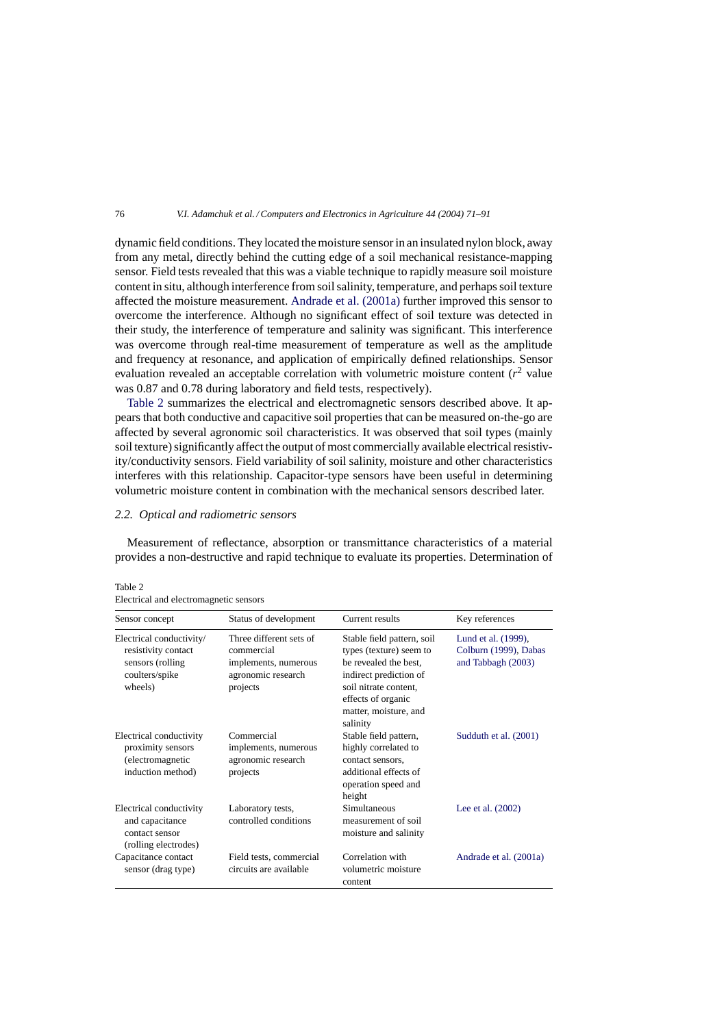dynamic field conditions. They located the moisture sensor in an insulated nylon block, away from any metal, directly behind the cutting edge of a soil mechanical resistance-mapping sensor. Field tests revealed that this was a viable technique to rapidly measure soil moisture content in situ, although interference from soil salinity, temperature, and perhaps soil texture affected the moisture measurement. [Andrade et al. \(2001a\)](#page-17-0) further improved this sensor to overcome the interference. Although no significant effect of soil texture was detected in their study, the interference of temperature and salinity was significant. This interference was overcome through real-time measurement of temperature as well as the amplitude and frequency at resonance, and application of empirically defined relationships. Sensor evaluation revealed an acceptable correlation with volumetric moisture content  $(r^2)$  value was 0.87 and 0.78 during laboratory and field tests, respectively).

Table 2 summarizes the electrical and electromagnetic sensors described above. It appears that both conductive and capacitive soil properties that can be measured on-the-go are affected by several agronomic soil characteristics. It was observed that soil types (mainly soil texture) significantly affect the output of most commercially available electrical resistivity/conductivity sensors. Field variability of soil salinity, moisture and other characteristics interferes with this relationship. Capacitor-type sensors have been useful in determining volumetric moisture content in combination with the mechanical sensors described later.

#### *2.2. Optical and radiometric sensors*

Measurement of reflectance, absorption or transmittance characteristics of a material provides a non-destructive and rapid technique to evaluate its properties. Determination of

| Sensor concept                                                                                    | Status of development                                                                           | Current results                                                                                                                                                                              | Key references                                                     |
|---------------------------------------------------------------------------------------------------|-------------------------------------------------------------------------------------------------|----------------------------------------------------------------------------------------------------------------------------------------------------------------------------------------------|--------------------------------------------------------------------|
| Electrical conductivity/<br>resistivity contact<br>sensors (rolling)<br>coulters/spike<br>wheels) | Three different sets of<br>commercial<br>implements, numerous<br>agronomic research<br>projects | Stable field pattern, soil<br>types (texture) seem to<br>be revealed the best,<br>indirect prediction of<br>soil nitrate content,<br>effects of organic<br>matter, moisture, and<br>salinity | Lund et al. (1999),<br>Colburn (1999), Dabas<br>and Tabbagh (2003) |
| Electrical conductivity<br>proximity sensors<br>(electromagnetic<br>induction method)             | Commercial<br>implements, numerous<br>agronomic research<br>projects                            | Stable field pattern,<br>highly correlated to<br>contact sensors,<br>additional effects of<br>operation speed and<br>height                                                                  | Sudduth et al. (2001)                                              |
| Electrical conductivity<br>and capacitance<br>contact sensor<br>(rolling electrodes)              | Laboratory tests,<br>controlled conditions                                                      | Simultaneous<br>measurement of soil<br>moisture and salinity                                                                                                                                 | Lee et al. $(2002)$                                                |
| Capacitance contact<br>sensor (drag type)                                                         | Field tests, commercial<br>circuits are available                                               | Correlation with<br>volumetric moisture<br>content                                                                                                                                           | Andrade et al. (2001a)                                             |

#### Table 2 Electrical and electromagnetic sensors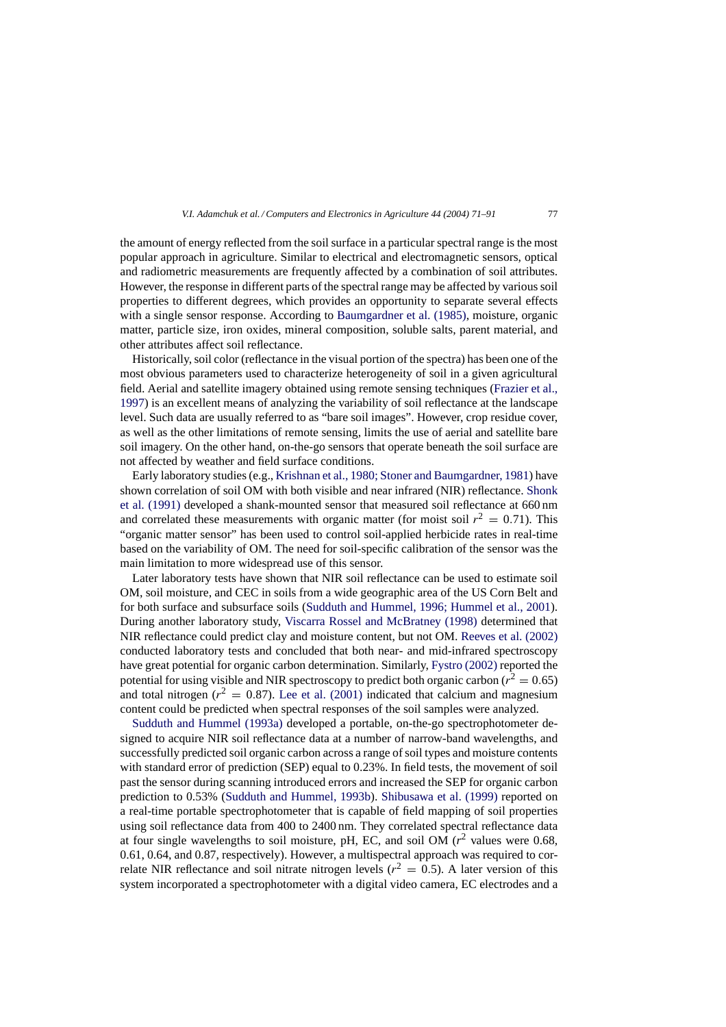the amount of energy reflected from the soil surface in a particular spectral range is the most popular approach in agriculture. Similar to electrical and electromagnetic sensors, optical and radiometric measurements are frequently affected by a combination of soil attributes. However, the response in different parts of the spectral range may be affected by various soil properties to different degrees, which provides an opportunity to separate several effects with a single sensor response. According to [Baumgardner et al. \(1985\),](#page-17-0) moisture, organic matter, particle size, iron oxides, mineral composition, soluble salts, parent material, and other attributes affect soil reflectance.

Historically, soil color (reflectance in the visual portion of the spectra) has been one of the most obvious parameters used to characterize heterogeneity of soil in a given agricultural field. Aerial and satellite imagery obtained using remote sensing techniques ([Frazier et al.,](#page-18-0) [1997\)](#page-18-0) is an excellent means of analyzing the variability of soil reflectance at the landscape level. Such data are usually referred to as "bare soil images". However, crop residue cover, as well as the other limitations of remote sensing, limits the use of aerial and satellite bare soil imagery. On the other hand, on-the-go sensors that operate beneath the soil surface are not affected by weather and field surface conditions.

Early laboratory studies (e.g., [Krishnan et al., 1980; Stoner and Baumgardner, 1981\) ha](#page-19-0)ve shown correlation of soil OM with both visible and near infrared (NIR) reflectance. [Shonk](#page-19-0) [et al. \(1991\)](#page-19-0) developed a shank-mounted sensor that measured soil reflectance at 660 nm and correlated these measurements with organic matter (for moist soil  $r^2 = 0.71$ ). This "organic matter sensor" has been used to control soil-applied herbicide rates in real-time based on the variability of OM. The need for soil-specific calibration of the sensor was the main limitation to more widespread use of this sensor.

Later laboratory tests have shown that NIR soil reflectance can be used to estimate soil OM, soil moisture, and CEC in soils from a wide geographic area of the US Corn Belt and for both surface and subsurface soils ([Sudduth and Hummel, 1996; Hummel et al., 2001\).](#page-20-0) During another laboratory study, [Viscarra Rossel and McBratney \(1998\)](#page-20-0) determined that NIR reflectance could predict clay and moisture content, but not OM. [Reeves et al. \(2002\)](#page-19-0) conducted laboratory tests and concluded that both near- and mid-infrared spectroscopy have great potential for organic carbon determination. Similarly, [Fystro \(2002\)](#page-18-0) reported the potential for using visible and NIR spectroscopy to predict both organic carbon ( $r^2 = 0.65$ ) and total nitrogen  $(r^2 = 0.87)$ . [Lee et al. \(2001\)](#page-19-0) indicated that calcium and magnesium content could be predicted when spectral responses of the soil samples were analyzed.

[Sudduth and Hummel \(1993a\)](#page-20-0) developed a portable, on-the-go spectrophotometer designed to acquire NIR soil reflectance data at a number of narrow-band wavelengths, and successfully predicted soil organic carbon across a range of soil types and moisture contents with standard error of prediction (SEP) equal to 0.23%. In field tests, the movement of soil past the sensor during scanning introduced errors and increased the SEP for organic carbon prediction to 0.53% ([Sudduth and Hummel, 1993b\)](#page-20-0). [Shibusawa et al. \(1999\)](#page-19-0) reported on a real-time portable spectrophotometer that is capable of field mapping of soil properties using soil reflectance data from 400 to 2400 nm. They correlated spectral reflectance data at four single wavelengths to soil moisture,  $pH$ , EC, and soil OM  $(r^2$  values were 0.68, 0.61, 0.64, and 0.87, respectively). However, a multispectral approach was required to correlate NIR reflectance and soil nitrate nitrogen levels ( $r^2 = 0.5$ ). A later version of this system incorporated a spectrophotometer with a digital video camera, EC electrodes and a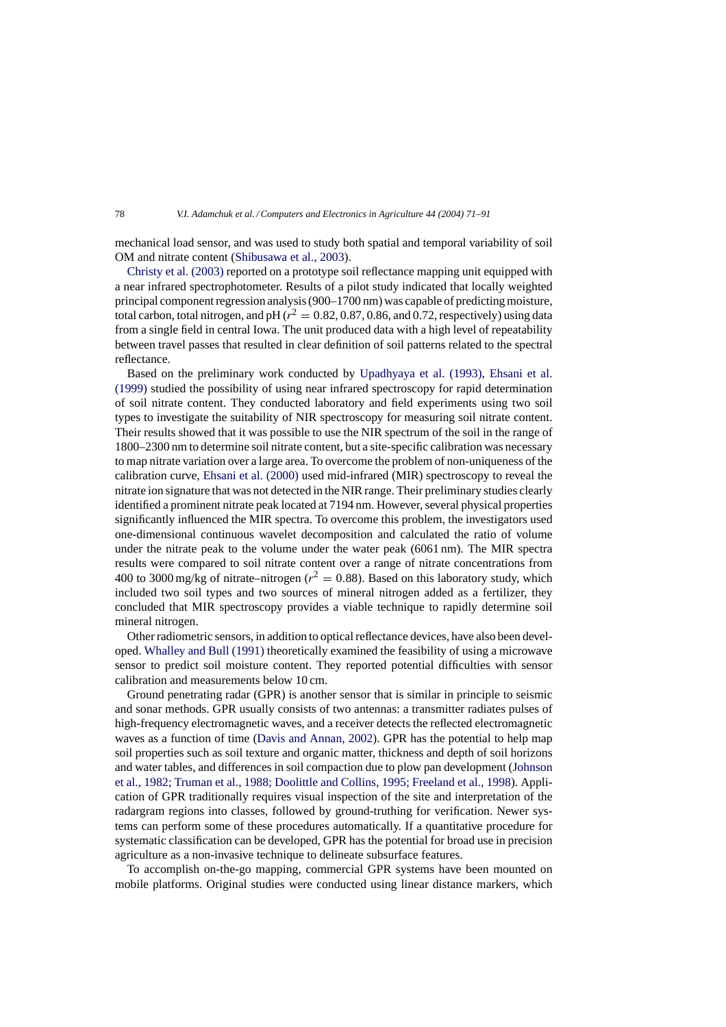mechanical load sensor, and was used to study both spatial and temporal variability of soil OM and nitrate content ([Shibusawa et al., 2003\).](#page-19-0)

[Christy et al. \(2003\)](#page-17-0) reported on a prototype soil reflectance mapping unit equipped with a near infrared spectrophotometer. Results of a pilot study indicated that locally weighted principal component regression analysis (900–1700 nm) was capable of predicting moisture, total carbon, total nitrogen, and pH ( $r^2 = 0.82, 0.87, 0.86$ , and 0.72, respectively) using data from a single field in central Iowa. The unit produced data with a high level of repeatability between travel passes that resulted in clear definition of soil patterns related to the spectral reflectance.

Based on the preliminary work conducted by [Upadhyaya et al. \(1993\),](#page-20-0) [Ehsani et al.](#page-18-0) [\(1999\)](#page-18-0) studied the possibility of using near infrared spectroscopy for rapid determination of soil nitrate content. They conducted laboratory and field experiments using two soil types to investigate the suitability of NIR spectroscopy for measuring soil nitrate content. Their results showed that it was possible to use the NIR spectrum of the soil in the range of 1800–2300 nm to determine soil nitrate content, but a site-specific calibration was necessary to map nitrate variation over a large area. To overcome the problem of non-uniqueness of the calibration curve, [Ehsani et al. \(2000\)](#page-18-0) used mid-infrared (MIR) spectroscopy to reveal the nitrate ion signature that was not detected in the NIR range. Their preliminary studies clearly identified a prominent nitrate peak located at 7194 nm. However, several physical properties significantly influenced the MIR spectra. To overcome this problem, the investigators used one-dimensional continuous wavelet decomposition and calculated the ratio of volume under the nitrate peak to the volume under the water peak (6061 nm). The MIR spectra results were compared to soil nitrate content over a range of nitrate concentrations from 400 to 3000 mg/kg of nitrate–nitrogen ( $r^2 = 0.88$ ). Based on this laboratory study, which included two soil types and two sources of mineral nitrogen added as a fertilizer, they concluded that MIR spectroscopy provides a viable technique to rapidly determine soil mineral nitrogen.

Other radiometric sensors, in addition to optical reflectance devices, have also been developed. [Whalley and Bull \(1991\)](#page-20-0) theoretically examined the feasibility of using a microwave sensor to predict soil moisture content. They reported potential difficulties with sensor calibration and measurements below 10 cm.

Ground penetrating radar (GPR) is another sensor that is similar in principle to seismic and sonar methods. GPR usually consists of two antennas: a transmitter radiates pulses of high-frequency electromagnetic waves, and a receiver detects the reflected electromagnetic waves as a function of time ([Davis and Annan, 2002\).](#page-18-0) GPR has the potential to help map soil properties such as soil texture and organic matter, thickness and depth of soil horizons and water tables, and differences in soil compaction due to plow pan development [\(Johnson](#page-19-0) [et al., 1982; Truman et al., 1988; Doolittle and Collins, 1995; Freeland et al., 1998\). A](#page-19-0)pplication of GPR traditionally requires visual inspection of the site and interpretation of the radargram regions into classes, followed by ground-truthing for verification. Newer systems can perform some of these procedures automatically. If a quantitative procedure for systematic classification can be developed, GPR has the potential for broad use in precision agriculture as a non-invasive technique to delineate subsurface features.

To accomplish on-the-go mapping, commercial GPR systems have been mounted on mobile platforms. Original studies were conducted using linear distance markers, which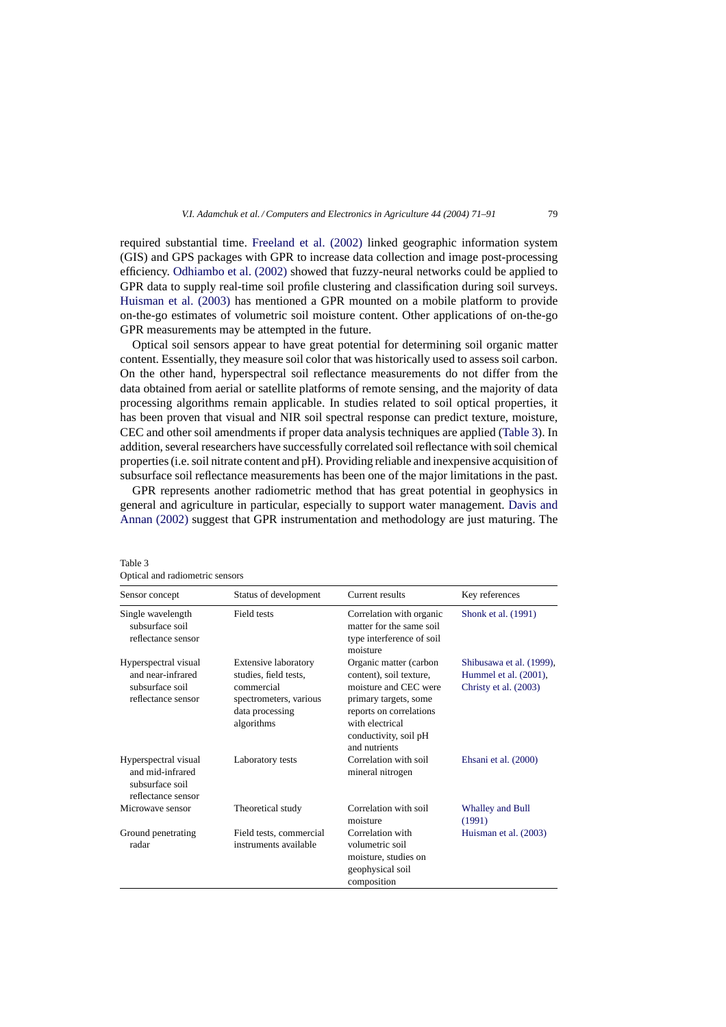required substantial time. [Freeland et al. \(2002\)](#page-18-0) linked geographic information system (GIS) and GPS packages with GPR to increase data collection and image post-processing efficiency. [Odhiambo et al. \(2002\)](#page-19-0) showed that fuzzy-neural networks could be applied to GPR data to supply real-time soil profile clustering and classification during soil surveys. [Huisman et al. \(2003\)](#page-18-0) has mentioned a GPR mounted on a mobile platform to provide on-the-go estimates of volumetric soil moisture content. Other applications of on-the-go GPR measurements may be attempted in the future.

Optical soil sensors appear to have great potential for determining soil organic matter content. Essentially, they measure soil color that was historically used to assess soil carbon. On the other hand, hyperspectral soil reflectance measurements do not differ from the data obtained from aerial or satellite platforms of remote sensing, and the majority of data processing algorithms remain applicable. In studies related to soil optical properties, it has been proven that visual and NIR soil spectral response can predict texture, moisture, CEC and other soil amendments if proper data analysis techniques are applied (Table 3). In addition, several researchers have successfully correlated soil reflectance with soil chemical properties (i.e. soil nitrate content and pH). Providing reliable and inexpensive acquisition of subsurface soil reflectance measurements has been one of the major limitations in the past.

GPR represents another radiometric method that has great potential in geophysics in general and agriculture in particular, especially to support water management. [Davis and](#page-18-0) [Annan \(2002\)](#page-18-0) suggest that GPR instrumentation and methodology are just maturing. The

| Sensor concept                                                                     | Status of development                                                                                                         | Current results                                                                                                                                                                             | Key references                                                                |
|------------------------------------------------------------------------------------|-------------------------------------------------------------------------------------------------------------------------------|---------------------------------------------------------------------------------------------------------------------------------------------------------------------------------------------|-------------------------------------------------------------------------------|
| Single wavelength<br>subsurface soil<br>reflectance sensor                         | Field tests                                                                                                                   | Correlation with organic<br>matter for the same soil<br>type interference of soil<br>moisture                                                                                               | Shonk et al. (1991)                                                           |
| Hyperspectral visual<br>and near-infrared<br>subsurface soil<br>reflectance sensor | <b>Extensive laboratory</b><br>studies, field tests,<br>commercial<br>spectrometers, various<br>data processing<br>algorithms | Organic matter (carbon<br>content), soil texture,<br>moisture and CEC were<br>primary targets, some<br>reports on correlations<br>with electrical<br>conductivity, soil pH<br>and nutrients | Shibusawa et al. (1999),<br>Hummel et al. $(2001)$ ,<br>Christy et al. (2003) |
| Hyperspectral visual<br>and mid-infrared<br>subsurface soil<br>reflectance sensor  | Laboratory tests                                                                                                              | Correlation with soil<br>mineral nitrogen                                                                                                                                                   | Ehsani et al. (2000)                                                          |
| Microwave sensor                                                                   | Theoretical study                                                                                                             | Correlation with soil<br>moisture                                                                                                                                                           | <b>Whalley and Bull</b><br>(1991)                                             |
| Ground penetrating<br>radar                                                        | Field tests, commercial<br>instruments available                                                                              | Correlation with<br>volumetric soil<br>moisture, studies on<br>geophysical soil<br>composition                                                                                              | Huisman et al. (2003)                                                         |

Table 3 Optical and radiometric sensors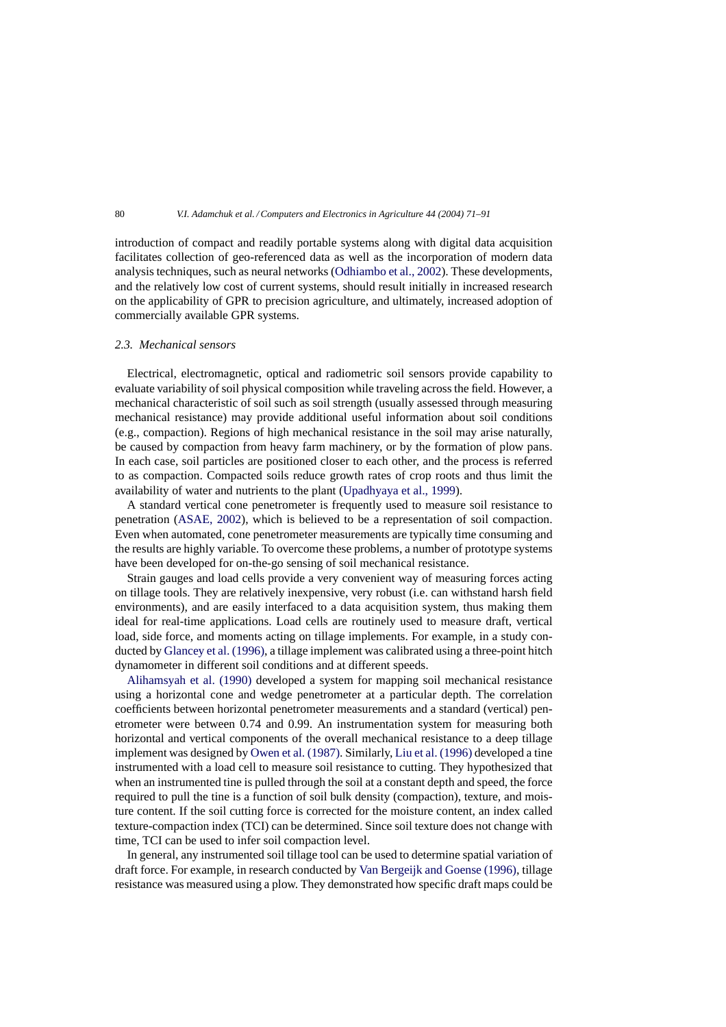introduction of compact and readily portable systems along with digital data acquisition facilitates collection of geo-referenced data as well as the incorporation of modern data analysis techniques, such as neural networks ([Odhiambo et al., 2002\).](#page-19-0) These developments, and the relatively low cost of current systems, should result initially in increased research on the applicability of GPR to precision agriculture, and ultimately, increased adoption of commercially available GPR systems.

#### *2.3. Mechanical sensors*

Electrical, electromagnetic, optical and radiometric soil sensors provide capability to evaluate variability of soil physical composition while traveling across the field. However, a mechanical characteristic of soil such as soil strength (usually assessed through measuring mechanical resistance) may provide additional useful information about soil conditions (e.g., compaction). Regions of high mechanical resistance in the soil may arise naturally, be caused by compaction from heavy farm machinery, or by the formation of plow pans. In each case, soil particles are positioned closer to each other, and the process is referred to as compaction. Compacted soils reduce growth rates of crop roots and thus limit the availability of water and nutrients to the plant [\(Upadhyaya et al., 1999\).](#page-20-0)

A standard vertical cone penetrometer is frequently used to measure soil resistance to penetration ([ASAE, 2002\),](#page-17-0) which is believed to be a representation of soil compaction. Even when automated, cone penetrometer measurements are typically time consuming and the results are highly variable. To overcome these problems, a number of prototype systems have been developed for on-the-go sensing of soil mechanical resistance.

Strain gauges and load cells provide a very convenient way of measuring forces acting on tillage tools. They are relatively inexpensive, very robust (i.e. can withstand harsh field environments), and are easily interfaced to a data acquisition system, thus making them ideal for real-time applications. Load cells are routinely used to measure draft, vertical load, side force, and moments acting on tillage implements. For example, in a study conducted by [Glancey et al. \(1996\), a](#page-18-0) tillage implement was calibrated using a three-point hitch dynamometer in different soil conditions and at different speeds.

[Alihamsyah et al. \(1990\)](#page-17-0) developed a system for mapping soil mechanical resistance using a horizontal cone and wedge penetrometer at a particular depth. The correlation coefficients between horizontal penetrometer measurements and a standard (vertical) penetrometer were between 0.74 and 0.99. An instrumentation system for measuring both horizontal and vertical components of the overall mechanical resistance to a deep tillage implement was designed by [Owen et al. \(1987\). S](#page-19-0)imilarly, [Liu et al. \(1996\)](#page-19-0) developed a tine instrumented with a load cell to measure soil resistance to cutting. They hypothesized that when an instrumented tine is pulled through the soil at a constant depth and speed, the force required to pull the tine is a function of soil bulk density (compaction), texture, and moisture content. If the soil cutting force is corrected for the moisture content, an index called texture-compaction index (TCI) can be determined. Since soil texture does not change with time, TCI can be used to infer soil compaction level.

In general, any instrumented soil tillage tool can be used to determine spatial variation of draft force. For example, in research conducted by [Van Bergeijk and Goense \(1996\), t](#page-20-0)illage resistance was measured using a plow. They demonstrated how specific draft maps could be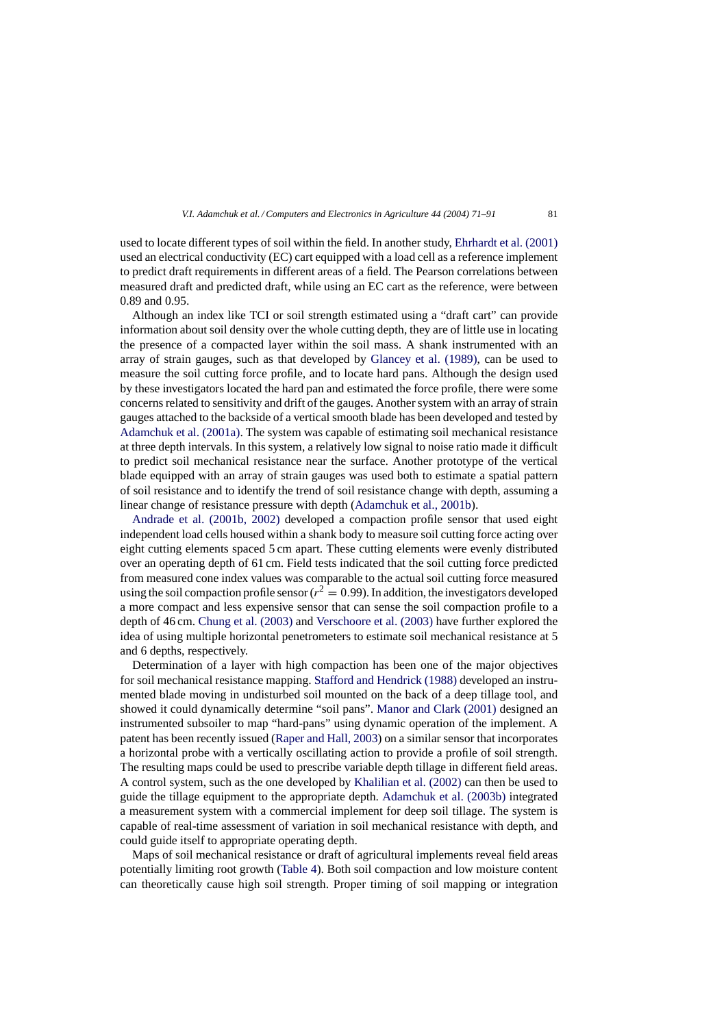used to locate different types of soil within the field. In another study, [Ehrhardt et al. \(2001\)](#page-18-0) used an electrical conductivity (EC) cart equipped with a load cell as a reference implement to predict draft requirements in different areas of a field. The Pearson correlations between measured draft and predicted draft, while using an EC cart as the reference, were between 0.89 and 0.95.

Although an index like TCI or soil strength estimated using a "draft cart" can provide information about soil density over the whole cutting depth, they are of little use in locating the presence of a compacted layer within the soil mass. A shank instrumented with an array of strain gauges, such as that developed by [Glancey et al. \(1989\),](#page-18-0) can be used to measure the soil cutting force profile, and to locate hard pans. Although the design used by these investigators located the hard pan and estimated the force profile, there were some concerns related to sensitivity and drift of the gauges. Another system with an array of strain gauges attached to the backside of a vertical smooth blade has been developed and tested by [Adamchuk et al. \(2001a\). T](#page-17-0)he system was capable of estimating soil mechanical resistance at three depth intervals. In this system, a relatively low signal to noise ratio made it difficult to predict soil mechanical resistance near the surface. Another prototype of the vertical blade equipped with an array of strain gauges was used both to estimate a spatial pattern of soil resistance and to identify the trend of soil resistance change with depth, assuming a linear change of resistance pressure with depth ([Adamchuk et al., 2001b\).](#page-17-0)

[Andrade et al. \(2001b, 2002\)](#page-17-0) developed a compaction profile sensor that used eight independent load cells housed within a shank body to measure soil cutting force acting over eight cutting elements spaced 5 cm apart. These cutting elements were evenly distributed over an operating depth of 61 cm. Field tests indicated that the soil cutting force predicted from measured cone index values was comparable to the actual soil cutting force measured using the soil compaction profile sensor ( $r^2 = 0.99$ ). In addition, the investigators developed a more compact and less expensive sensor that can sense the soil compaction profile to a depth of 46 cm. [Chung et al. \(2003\)](#page-17-0) and [Verschoore et al. \(2003\)](#page-20-0) have further explored the idea of using multiple horizontal penetrometers to estimate soil mechanical resistance at 5 and 6 depths, respectively.

Determination of a layer with high compaction has been one of the major objectives for soil mechanical resistance mapping. [Stafford and Hendrick \(1988\)](#page-19-0) developed an instrumented blade moving in undisturbed soil mounted on the back of a deep tillage tool, and showed it could dynamically determine "soil pans". [Manor and Clark \(2001\)](#page-19-0) designed an instrumented subsoiler to map "hard-pans" using dynamic operation of the implement. A patent has been recently issued ([Raper and Hall, 2003\) o](#page-19-0)n a similar sensor that incorporates a horizontal probe with a vertically oscillating action to provide a profile of soil strength. The resulting maps could be used to prescribe variable depth tillage in different field areas. A control system, such as the one developed by [Khalilian et al. \(2002\)](#page-19-0) can then be used to guide the tillage equipment to the appropriate depth. [Adamchuk et al. \(2003b\)](#page-17-0) integrated a measurement system with a commercial implement for deep soil tillage. The system is capable of real-time assessment of variation in soil mechanical resistance with depth, and could guide itself to appropriate operating depth.

Maps of soil mechanical resistance or draft of agricultural implements reveal field areas potentially limiting root growth [\(Table 4\).](#page-11-0) Both soil compaction and low moisture content can theoretically cause high soil strength. Proper timing of soil mapping or integration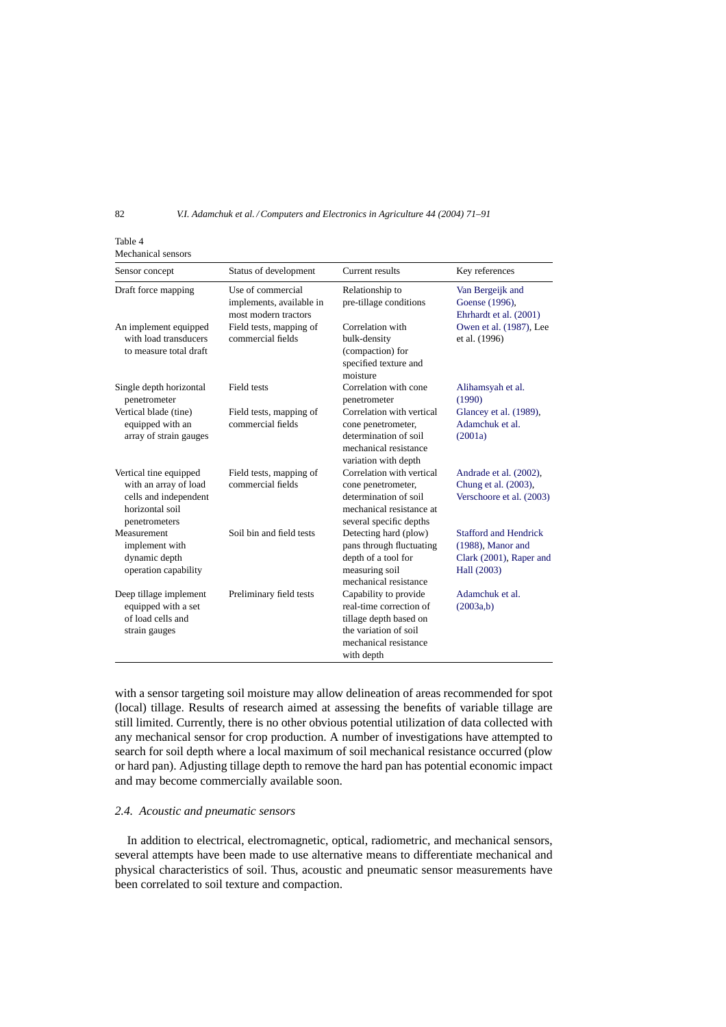| Sensor concept                                                                                               | Status of development                                                 | Current results                                                                                                                            | Key references                                                                              |
|--------------------------------------------------------------------------------------------------------------|-----------------------------------------------------------------------|--------------------------------------------------------------------------------------------------------------------------------------------|---------------------------------------------------------------------------------------------|
| Draft force mapping                                                                                          | Use of commercial<br>implements, available in<br>most modern tractors | Relationship to<br>pre-tillage conditions                                                                                                  | Van Bergeijk and<br>Goense (1996),<br>Ehrhardt et al. (2001)                                |
| An implement equipped<br>with load transducers<br>to measure total draft                                     | Field tests, mapping of<br>commercial fields                          | Correlation with<br>bulk-density<br>(compaction) for<br>specified texture and<br>moisture                                                  | Owen et al. (1987), Lee<br>et al. (1996)                                                    |
| Single depth horizontal<br>penetrometer                                                                      | Field tests                                                           | Correlation with cone<br>penetrometer                                                                                                      | Alihamsyah et al.<br>(1990)                                                                 |
| Vertical blade (tine)<br>equipped with an<br>array of strain gauges                                          | Field tests, mapping of<br>commercial fields                          | Correlation with vertical<br>cone penetrometer,<br>determination of soil<br>mechanical resistance<br>variation with depth                  | Glancey et al. (1989),<br>Adamchuk et al.<br>(2001a)                                        |
| Vertical tine equipped<br>with an array of load<br>cells and independent<br>horizontal soil<br>penetrometers | Field tests, mapping of<br>commercial fields                          | Correlation with vertical<br>cone penetrometer,<br>determination of soil<br>mechanical resistance at<br>several specific depths            | Andrade et al. (2002),<br>Chung et al. (2003),<br>Verschoore et al. (2003)                  |
| Measurement<br>implement with<br>dynamic depth<br>operation capability                                       | Soil bin and field tests                                              | Detecting hard (plow)<br>pans through fluctuating<br>depth of a tool for<br>measuring soil<br>mechanical resistance                        | <b>Stafford and Hendrick</b><br>(1988), Manor and<br>Clark (2001), Raper and<br>Hall (2003) |
| Deep tillage implement<br>equipped with a set<br>of load cells and<br>strain gauges                          | Preliminary field tests                                               | Capability to provide<br>real-time correction of<br>tillage depth based on<br>the variation of soil<br>mechanical resistance<br>with depth | Adamchuk et al.<br>(2003a,b)                                                                |

<span id="page-11-0"></span>Table 4 Mechanical sensors

with a sensor targeting soil moisture may allow delineation of areas recommended for spot (local) tillage. Results of research aimed at assessing the benefits of variable tillage are still limited. Currently, there is no other obvious potential utilization of data collected with any mechanical sensor for crop production. A number of investigations have attempted to search for soil depth where a local maximum of soil mechanical resistance occurred (plow or hard pan). Adjusting tillage depth to remove the hard pan has potential economic impact and may become commercially available soon.

#### *2.4. Acoustic and pneumatic sensors*

In addition to electrical, electromagnetic, optical, radiometric, and mechanical sensors, several attempts have been made to use alternative means to differentiate mechanical and physical characteristics of soil. Thus, acoustic and pneumatic sensor measurements have been correlated to soil texture and compaction.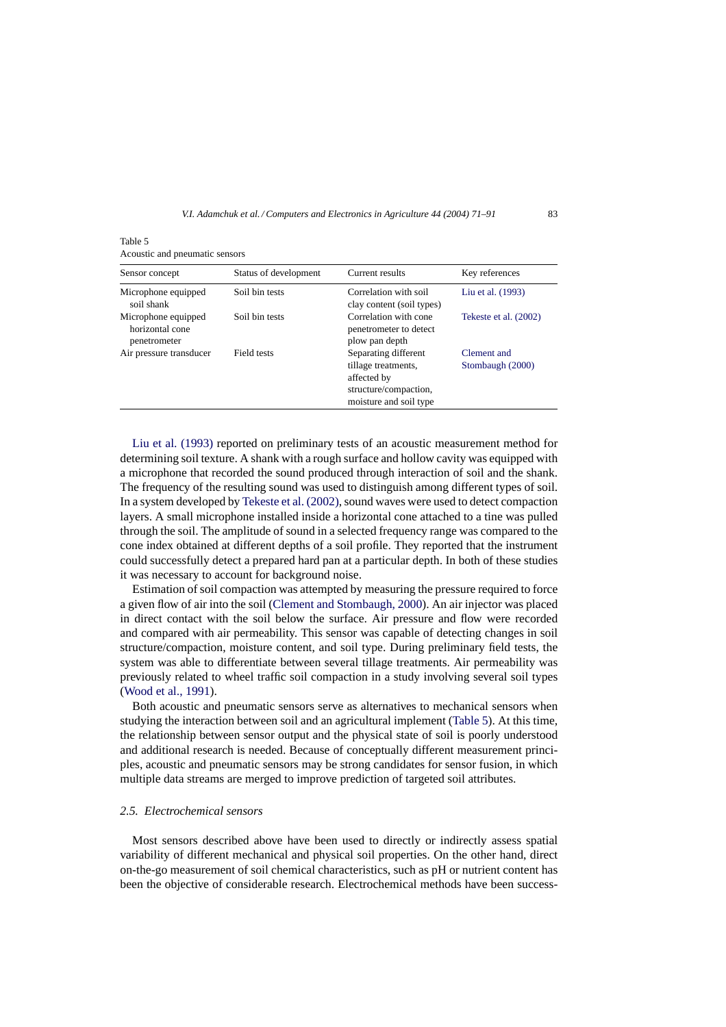| Sensor concept                                         | Status of development | Current results                                                                                               | Key references                  |
|--------------------------------------------------------|-----------------------|---------------------------------------------------------------------------------------------------------------|---------------------------------|
| Microphone equipped<br>soil shank                      | Soil bin tests        | Correlation with soil<br>clay content (soil types)                                                            | Liu et al. (1993)               |
| Microphone equipped<br>horizontal cone<br>penetrometer | Soil bin tests        | Correlation with cone<br>penetrometer to detect<br>plow pan depth                                             | Tekeste et al. (2002)           |
| Air pressure transducer                                | Field tests           | Separating different<br>tillage treatments,<br>affected by<br>structure/compaction,<br>moisture and soil type | Clement and<br>Stombaugh (2000) |

Table 5 Acoustic and pneumatic sensors

[Liu et al. \(1993\)](#page-19-0) reported on preliminary tests of an acoustic measurement method for determining soil texture. A shank with a rough surface and hollow cavity was equipped with a microphone that recorded the sound produced through interaction of soil and the shank. The frequency of the resulting sound was used to distinguish among different types of soil. In a system developed by [Tekeste et al. \(2002\), s](#page-20-0)ound waves were used to detect compaction layers. A small microphone installed inside a horizontal cone attached to a tine was pulled through the soil. The amplitude of sound in a selected frequency range was compared to the cone index obtained at different depths of a soil profile. They reported that the instrument could successfully detect a prepared hard pan at a particular depth. In both of these studies it was necessary to account for background noise.

Estimation of soil compaction was attempted by measuring the pressure required to force a given flow of air into the soil ([Clement and Stombaugh, 2000\).](#page-17-0) An air injector was placed in direct contact with the soil below the surface. Air pressure and flow were recorded and compared with air permeability. This sensor was capable of detecting changes in soil structure/compaction, moisture content, and soil type. During preliminary field tests, the system was able to differentiate between several tillage treatments. Air permeability was previously related to wheel traffic soil compaction in a study involving several soil types ([Wood et al., 1991\).](#page-20-0)

Both acoustic and pneumatic sensors serve as alternatives to mechanical sensors when studying the interaction between soil and an agricultural implement (Table 5). At this time, the relationship between sensor output and the physical state of soil is poorly understood and additional research is needed. Because of conceptually different measurement principles, acoustic and pneumatic sensors may be strong candidates for sensor fusion, in which multiple data streams are merged to improve prediction of targeted soil attributes.

### *2.5. Electrochemical sensors*

Most sensors described above have been used to directly or indirectly assess spatial variability of different mechanical and physical soil properties. On the other hand, direct on-the-go measurement of soil chemical characteristics, such as pH or nutrient content has been the objective of considerable research. Electrochemical methods have been success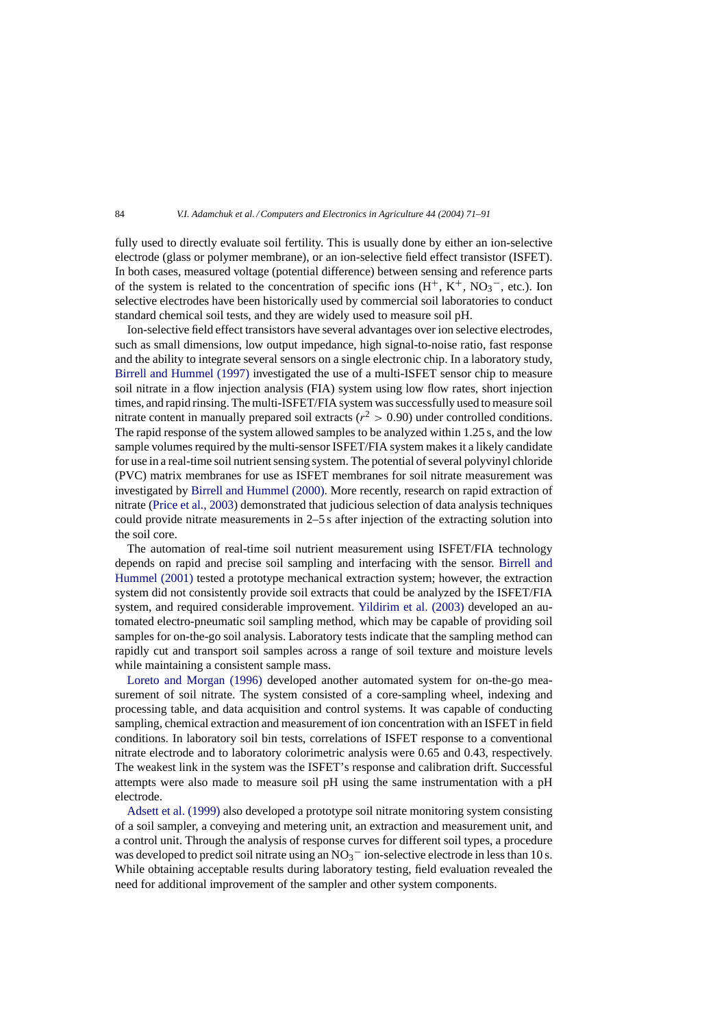fully used to directly evaluate soil fertility. This is usually done by either an ion-selective electrode (glass or polymer membrane), or an ion-selective field effect transistor (ISFET). In both cases, measured voltage (potential difference) between sensing and reference parts of the system is related to the concentration of specific ions  $(H^+, K^+, NO_3^-$ , etc.). Ion selective electrodes have been historically used by commercial soil laboratories to conduct standard chemical soil tests, and they are widely used to measure soil pH.

Ion-selective field effect transistors have several advantages over ion selective electrodes, such as small dimensions, low output impedance, high signal-to-noise ratio, fast response and the ability to integrate several sensors on a single electronic chip. In a laboratory study, [Birrell and Hummel \(1997\)](#page-17-0) investigated the use of a multi-ISFET sensor chip to measure soil nitrate in a flow injection analysis (FIA) system using low flow rates, short injection times, and rapid rinsing. The multi-ISFET/FIA system was successfully used to measure soil nitrate content in manually prepared soil extracts ( $r^2 > 0.90$ ) under controlled conditions. The rapid response of the system allowed samples to be analyzed within 1.25 s, and the low sample volumes required by the multi-sensor ISFET/FIA system makes it a likely candidate for use in a real-time soil nutrient sensing system. The potential of several polyvinyl chloride (PVC) matrix membranes for use as ISFET membranes for soil nitrate measurement was investigated by [Birrell and Hummel \(2000\). M](#page-17-0)ore recently, research on rapid extraction of nitrate [\(Price et al., 2003\)](#page-19-0) demonstrated that judicious selection of data analysis techniques could provide nitrate measurements in 2–5 s after injection of the extracting solution into the soil core.

The automation of real-time soil nutrient measurement using ISFET/FIA technology depends on rapid and precise soil sampling and interfacing with the sensor. [Birrell and](#page-17-0) [Hummel \(2001\)](#page-17-0) tested a prototype mechanical extraction system; however, the extraction system did not consistently provide soil extracts that could be analyzed by the ISFET/FIA system, and required considerable improvement. [Yildirim et al. \(2003\)](#page-20-0) developed an automated electro-pneumatic soil sampling method, which may be capable of providing soil samples for on-the-go soil analysis. Laboratory tests indicate that the sampling method can rapidly cut and transport soil samples across a range of soil texture and moisture levels while maintaining a consistent sample mass.

[Loreto and Morgan \(1996\)](#page-19-0) developed another automated system for on-the-go measurement of soil nitrate. The system consisted of a core-sampling wheel, indexing and processing table, and data acquisition and control systems. It was capable of conducting sampling, chemical extraction and measurement of ion concentration with an ISFET in field conditions. In laboratory soil bin tests, correlations of ISFET response to a conventional nitrate electrode and to laboratory colorimetric analysis were 0.65 and 0.43, respectively. The weakest link in the system was the ISFET's response and calibration drift. Successful attempts were also made to measure soil pH using the same instrumentation with a pH electrode.

[Adsett et al. \(1999\)](#page-17-0) also developed a prototype soil nitrate monitoring system consisting of a soil sampler, a conveying and metering unit, an extraction and measurement unit, and a control unit. Through the analysis of response curves for different soil types, a procedure was developed to predict soil nitrate using an  $NO_3^-$  ion-selective electrode in less than 10 s. While obtaining acceptable results during laboratory testing, field evaluation revealed the need for additional improvement of the sampler and other system components.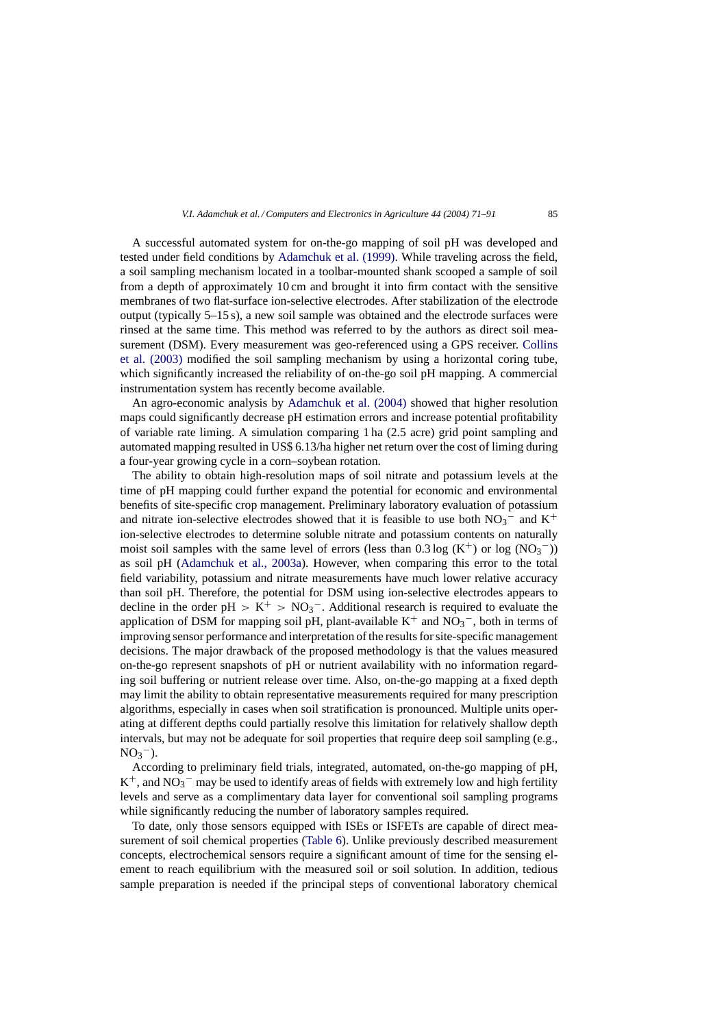A successful automated system for on-the-go mapping of soil pH was developed and tested under field conditions by [Adamchuk et al. \(1999\).](#page-17-0) While traveling across the field, a soil sampling mechanism located in a toolbar-mounted shank scooped a sample of soil from a depth of approximately 10 cm and brought it into firm contact with the sensitive membranes of two flat-surface ion-selective electrodes. After stabilization of the electrode output (typically 5–15 s), a new soil sample was obtained and the electrode surfaces were rinsed at the same time. This method was referred to by the authors as direct soil measurement (DSM). Every measurement was geo-referenced using a GPS receiver. [Collins](#page-18-0) [et al. \(2003\)](#page-18-0) modified the soil sampling mechanism by using a horizontal coring tube, which significantly increased the reliability of on-the-go soil pH mapping. A commercial instrumentation system has recently become available.

An agro-economic analysis by [Adamchuk et al. \(2004\)](#page-17-0) showed that higher resolution maps could significantly decrease pH estimation errors and increase potential profitability of variable rate liming. A simulation comparing 1 ha (2.5 acre) grid point sampling and automated mapping resulted in US\$ 6.13/ha higher net return over the cost of liming during a four-year growing cycle in a corn–soybean rotation.

The ability to obtain high-resolution maps of soil nitrate and potassium levels at the time of pH mapping could further expand the potential for economic and environmental benefits of site-specific crop management. Preliminary laboratory evaluation of potassium and nitrate ion-selective electrodes showed that it is feasible to use both  $NO<sub>3</sub><sup>-</sup>$  and K<sup>+</sup> ion-selective electrodes to determine soluble nitrate and potassium contents on naturally moist soil samples with the same level of errors (less than  $0.3 \log (K^+)$  or  $\log (NO_3^-)$ ) as soil pH [\(Adamchuk et al., 2003a\)](#page-17-0). However, when comparing this error to the total field variability, potassium and nitrate measurements have much lower relative accuracy than soil pH. Therefore, the potential for DSM using ion-selective electrodes appears to decline in the order  $pH > K^+ > NO_3^-$ . Additional research is required to evaluate the application of DSM for mapping soil pH, plant-available  $K^+$  and  $NO_3^-$ , both in terms of improving sensor performance and interpretation of the results for site-specific management decisions. The major drawback of the proposed methodology is that the values measured on-the-go represent snapshots of pH or nutrient availability with no information regarding soil buffering or nutrient release over time. Also, on-the-go mapping at a fixed depth may limit the ability to obtain representative measurements required for many prescription algorithms, especially in cases when soil stratification is pronounced. Multiple units operating at different depths could partially resolve this limitation for relatively shallow depth intervals, but may not be adequate for soil properties that require deep soil sampling (e.g.,  $NO<sub>3</sub><sup>-</sup>).$ 

According to preliminary field trials, integrated, automated, on-the-go mapping of pH,  $\rm K^+$ , and  $\rm NO_3^-$  may be used to identify areas of fields with extremely low and high fertility levels and serve as a complimentary data layer for conventional soil sampling programs while significantly reducing the number of laboratory samples required.

To date, only those sensors equipped with ISEs or ISFETs are capable of direct measurement of soil chemical properties ([Table 6\).](#page-15-0) Unlike previously described measurement concepts, electrochemical sensors require a significant amount of time for the sensing element to reach equilibrium with the measured soil or soil solution. In addition, tedious sample preparation is needed if the principal steps of conventional laboratory chemical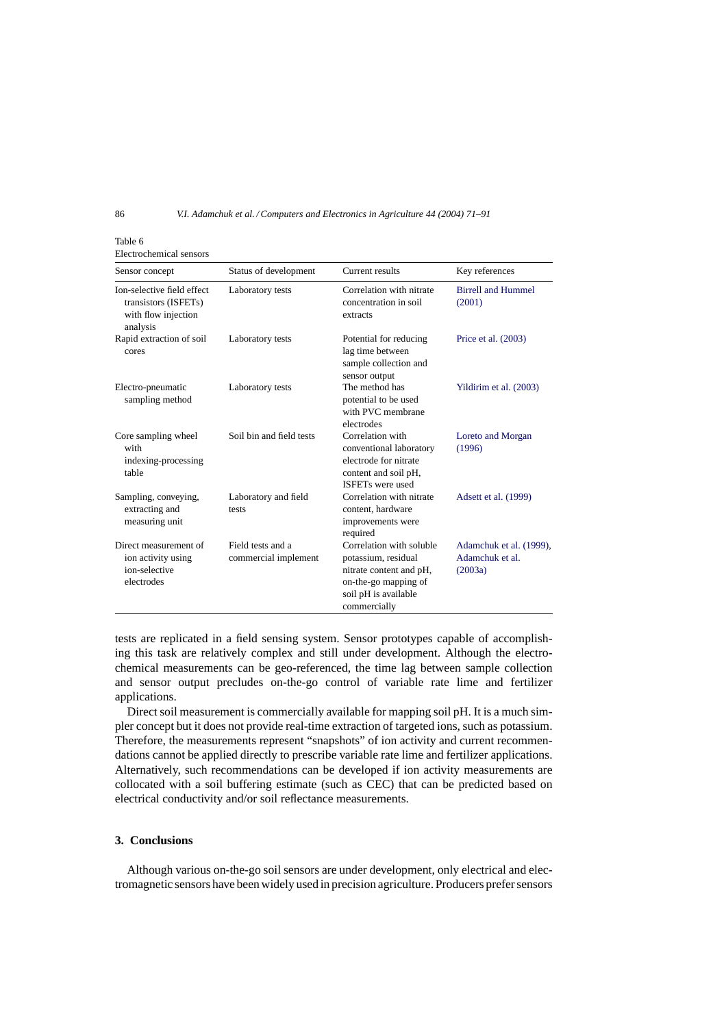| Sensor concept                                                                        | Status of development                     | Current results                                                                                                                            | Key references                                        |
|---------------------------------------------------------------------------------------|-------------------------------------------|--------------------------------------------------------------------------------------------------------------------------------------------|-------------------------------------------------------|
| Ion-selective field effect<br>transistors (ISFETs)<br>with flow injection<br>analysis | Laboratory tests                          | Correlation with nitrate<br>concentration in soil<br>extracts                                                                              | <b>Birrell and Hummel</b><br>(2001)                   |
| Rapid extraction of soil<br>cores                                                     | Laboratory tests                          | Potential for reducing<br>lag time between<br>sample collection and<br>sensor output                                                       | Price et al. (2003)                                   |
| Electro-pneumatic<br>sampling method                                                  | Laboratory tests                          | The method has<br>potential to be used<br>with PVC membrane<br>electrodes                                                                  | Yildirim et al. (2003)                                |
| Core sampling wheel<br>with<br>indexing-processing<br>table                           | Soil bin and field tests                  | Correlation with<br>conventional laboratory<br>electrode for nitrate<br>content and soil pH,<br><b>ISFETs</b> were used                    | Loreto and Morgan<br>(1996)                           |
| Sampling, conveying,<br>extracting and<br>measuring unit                              | Laboratory and field<br>tests             | Correlation with nitrate<br>content, hardware<br>improvements were<br>required                                                             | Adsett et al. (1999)                                  |
| Direct measurement of<br>ion activity using<br>ion-selective<br>electrodes            | Field tests and a<br>commercial implement | Correlation with soluble<br>potassium, residual<br>nitrate content and pH,<br>on-the-go mapping of<br>soil pH is available<br>commercially | Adamchuk et al. (1999),<br>Adamchuk et al.<br>(2003a) |

<span id="page-15-0"></span>

| Table 6                 |  |
|-------------------------|--|
| Electrochemical sensors |  |

tests are replicated in a field sensing system. Sensor prototypes capable of accomplishing this task are relatively complex and still under development. Although the electrochemical measurements can be geo-referenced, the time lag between sample collection and sensor output precludes on-the-go control of variable rate lime and fertilizer applications.

Direct soil measurement is commercially available for mapping soil pH. It is a much simpler concept but it does not provide real-time extraction of targeted ions, such as potassium. Therefore, the measurements represent "snapshots" of ion activity and current recommendations cannot be applied directly to prescribe variable rate lime and fertilizer applications. Alternatively, such recommendations can be developed if ion activity measurements are collocated with a soil buffering estimate (such as CEC) that can be predicted based on electrical conductivity and/or soil reflectance measurements.

## **3. Conclusions**

Although various on-the-go soil sensors are under development, only electrical and electromagnetic sensors have been widely used in precision agriculture. Producers prefer sensors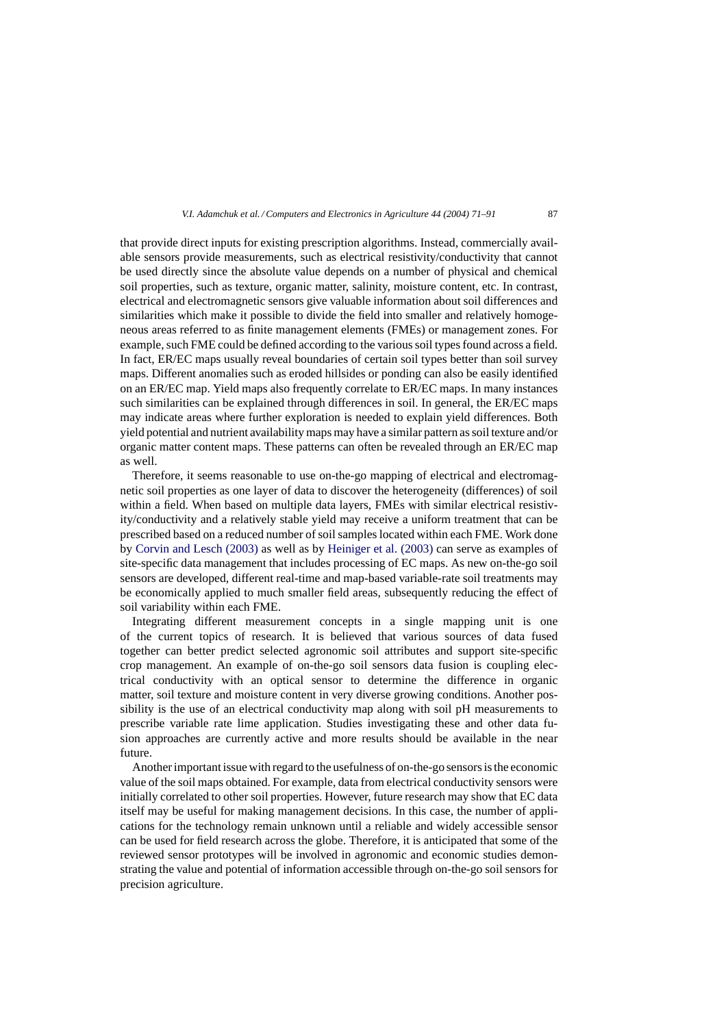that provide direct inputs for existing prescription algorithms. Instead, commercially available sensors provide measurements, such as electrical resistivity/conductivity that cannot be used directly since the absolute value depends on a number of physical and chemical soil properties, such as texture, organic matter, salinity, moisture content, etc. In contrast, electrical and electromagnetic sensors give valuable information about soil differences and similarities which make it possible to divide the field into smaller and relatively homogeneous areas referred to as finite management elements (FMEs) or management zones. For example, such FME could be defined according to the various soil types found across a field. In fact, ER/EC maps usually reveal boundaries of certain soil types better than soil survey maps. Different anomalies such as eroded hillsides or ponding can also be easily identified on an ER/EC map. Yield maps also frequently correlate to ER/EC maps. In many instances such similarities can be explained through differences in soil. In general, the ER/EC maps may indicate areas where further exploration is needed to explain yield differences. Both yield potential and nutrient availability maps may have a similar pattern as soil texture and/or organic matter content maps. These patterns can often be revealed through an ER/EC map as well.

Therefore, it seems reasonable to use on-the-go mapping of electrical and electromagnetic soil properties as one layer of data to discover the heterogeneity (differences) of soil within a field. When based on multiple data layers, FMEs with similar electrical resistivity/conductivity and a relatively stable yield may receive a uniform treatment that can be prescribed based on a reduced number of soil samples located within each FME. Work done by [Corvin and Lesch \(2003\)](#page-18-0) as well as by [Heiniger et al. \(2003\)](#page-18-0) can serve as examples of site-specific data management that includes processing of EC maps. As new on-the-go soil sensors are developed, different real-time and map-based variable-rate soil treatments may be economically applied to much smaller field areas, subsequently reducing the effect of soil variability within each FME.

Integrating different measurement concepts in a single mapping unit is one of the current topics of research. It is believed that various sources of data fused together can better predict selected agronomic soil attributes and support site-specific crop management. An example of on-the-go soil sensors data fusion is coupling electrical conductivity with an optical sensor to determine the difference in organic matter, soil texture and moisture content in very diverse growing conditions. Another possibility is the use of an electrical conductivity map along with soil pH measurements to prescribe variable rate lime application. Studies investigating these and other data fusion approaches are currently active and more results should be available in the near future.

Another important issue with regard to the usefulness of on-the-go sensors is the economic value of the soil maps obtained. For example, data from electrical conductivity sensors were initially correlated to other soil properties. However, future research may show that EC data itself may be useful for making management decisions. In this case, the number of applications for the technology remain unknown until a reliable and widely accessible sensor can be used for field research across the globe. Therefore, it is anticipated that some of the reviewed sensor prototypes will be involved in agronomic and economic studies demonstrating the value and potential of information accessible through on-the-go soil sensors for precision agriculture.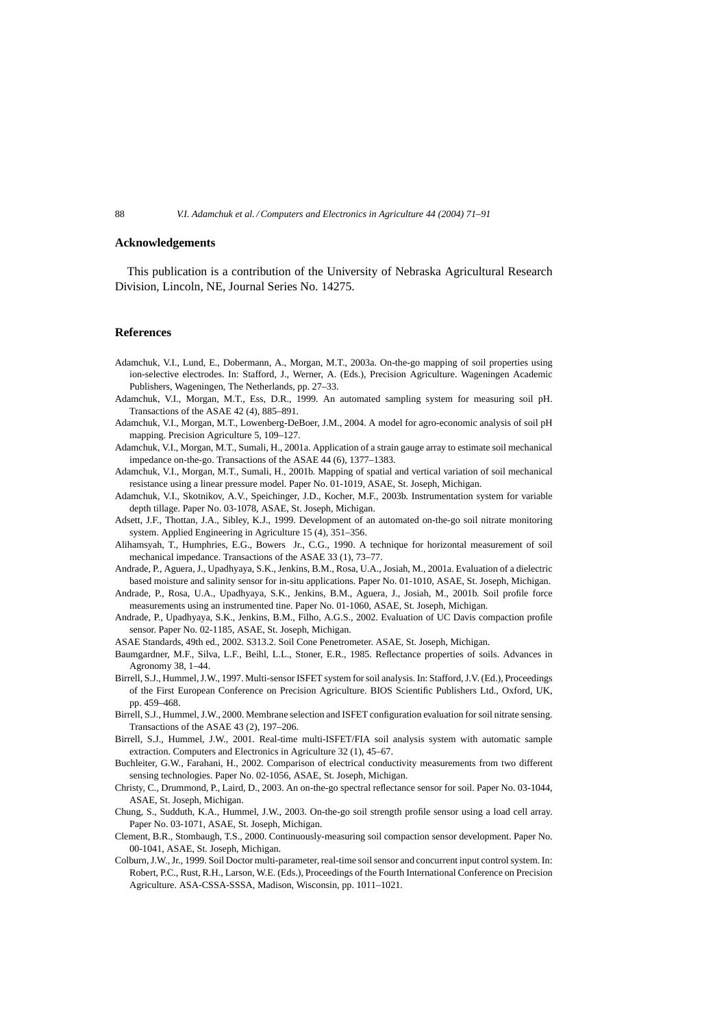#### <span id="page-17-0"></span>**Acknowledgements**

This publication is a contribution of the University of Nebraska Agricultural Research Division, Lincoln, NE, Journal Series No. 14275.

#### **References**

- Adamchuk, V.I., Lund, E., Dobermann, A., Morgan, M.T., 2003a. On-the-go mapping of soil properties using ion-selective electrodes. In: Stafford, J., Werner, A. (Eds.), Precision Agriculture. Wageningen Academic Publishers, Wageningen, The Netherlands, pp. 27–33.
- Adamchuk, V.I., Morgan, M.T., Ess, D.R., 1999. An automated sampling system for measuring soil pH. Transactions of the ASAE 42 (4), 885–891.
- Adamchuk, V.I., Morgan, M.T., Lowenberg-DeBoer, J.M., 2004. A model for agro-economic analysis of soil pH mapping. Precision Agriculture 5, 109–127.
- Adamchuk, V.I., Morgan, M.T., Sumali, H., 2001a. Application of a strain gauge array to estimate soil mechanical impedance on-the-go. Transactions of the ASAE 44 (6), 1377–1383.
- Adamchuk, V.I., Morgan, M.T., Sumali, H., 2001b. Mapping of spatial and vertical variation of soil mechanical resistance using a linear pressure model. Paper No. 01-1019, ASAE, St. Joseph, Michigan.
- Adamchuk, V.I., Skotnikov, A.V., Speichinger, J.D., Kocher, M.F., 2003b. Instrumentation system for variable depth tillage. Paper No. 03-1078, ASAE, St. Joseph, Michigan.
- Adsett, J.F., Thottan, J.A., Sibley, K.J., 1999. Development of an automated on-the-go soil nitrate monitoring system. Applied Engineering in Agriculture 15 (4), 351–356.
- Alihamsyah, T., Humphries, E.G., Bowers Jr., C.G., 1990. A technique for horizontal measurement of soil mechanical impedance. Transactions of the ASAE 33 (1), 73–77.
- Andrade, P., Aguera, J., Upadhyaya, S.K., Jenkins, B.M., Rosa, U.A., Josiah, M., 2001a. Evaluation of a dielectric based moisture and salinity sensor for in-situ applications. Paper No. 01-1010, ASAE, St. Joseph, Michigan.
- Andrade, P., Rosa, U.A., Upadhyaya, S.K., Jenkins, B.M., Aguera, J., Josiah, M., 2001b. Soil profile force measurements using an instrumented tine. Paper No. 01-1060, ASAE, St. Joseph, Michigan.
- Andrade, P., Upadhyaya, S.K., Jenkins, B.M., Filho, A.G.S., 2002. Evaluation of UC Davis compaction profile sensor. Paper No. 02-1185, ASAE, St. Joseph, Michigan.
- ASAE Standards, 49th ed., 2002. S313.2. Soil Cone Penetrometer. ASAE, St. Joseph, Michigan.
- Baumgardner, M.F., Silva, L.F., Beihl, L.L., Stoner, E.R., 1985. Reflectance properties of soils. Advances in Agronomy 38, 1–44.
- Birrell, S.J., Hummel, J.W., 1997. Multi-sensor ISFET system for soil analysis. In: Stafford, J.V. (Ed.), Proceedings of the First European Conference on Precision Agriculture. BIOS Scientific Publishers Ltd., Oxford, UK, pp. 459–468.
- Birrell, S.J., Hummel, J.W., 2000. Membrane selection and ISFET configuration evaluation for soil nitrate sensing. Transactions of the ASAE 43 (2), 197–206.
- Birrell, S.J., Hummel, J.W., 2001. Real-time multi-ISFET/FIA soil analysis system with automatic sample extraction. Computers and Electronics in Agriculture 32 (1), 45–67.
- Buchleiter, G.W., Farahani, H., 2002. Comparison of electrical conductivity measurements from two different sensing technologies. Paper No. 02-1056, ASAE, St. Joseph, Michigan.
- Christy, C., Drummond, P., Laird, D., 2003. An on-the-go spectral reflectance sensor for soil. Paper No. 03-1044, ASAE, St. Joseph, Michigan.
- Chung, S., Sudduth, K.A., Hummel, J.W., 2003. On-the-go soil strength profile sensor using a load cell array. Paper No. 03-1071, ASAE, St. Joseph, Michigan.
- Clement, B.R., Stombaugh, T.S., 2000. Continuously-measuring soil compaction sensor development. Paper No. 00-1041, ASAE, St. Joseph, Michigan.
- Colburn, J.W., Jr., 1999. Soil Doctor multi-parameter, real-time soil sensor and concurrent input control system. In: Robert, P.C., Rust, R.H., Larson, W.E. (Eds.), Proceedings of the Fourth International Conference on Precision Agriculture. ASA-CSSA-SSSA, Madison, Wisconsin, pp. 1011–1021.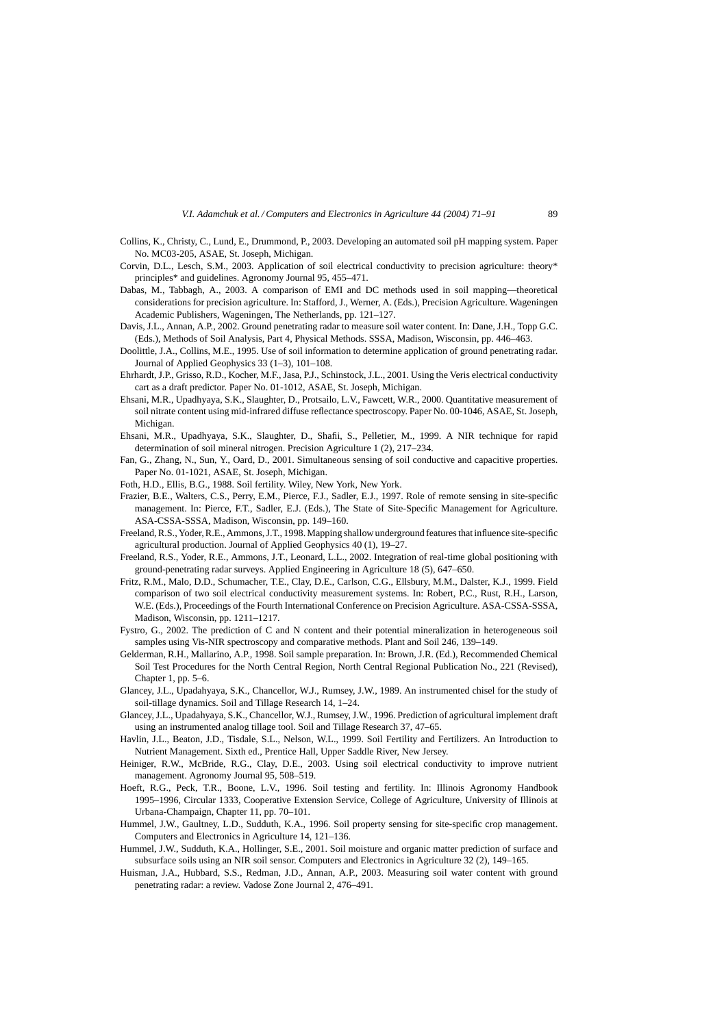- <span id="page-18-0"></span>Collins, K., Christy, C., Lund, E., Drummond, P., 2003. Developing an automated soil pH mapping system. Paper No. MC03-205, ASAE, St. Joseph, Michigan.
- Corvin, D.L., Lesch, S.M., 2003. Application of soil electrical conductivity to precision agriculture: theory\* principles\* and guidelines. Agronomy Journal 95, 455–471.
- Dabas, M., Tabbagh, A., 2003. A comparison of EMI and DC methods used in soil mapping—theoretical considerations for precision agriculture. In: Stafford, J., Werner, A. (Eds.), Precision Agriculture. Wageningen Academic Publishers, Wageningen, The Netherlands, pp. 121–127.
- Davis, J.L., Annan, A.P., 2002. Ground penetrating radar to measure soil water content. In: Dane, J.H., Topp G.C. (Eds.), Methods of Soil Analysis, Part 4, Physical Methods. SSSA, Madison, Wisconsin, pp. 446–463.
- Doolittle, J.A., Collins, M.E., 1995. Use of soil information to determine application of ground penetrating radar. Journal of Applied Geophysics 33 (1–3), 101–108.
- Ehrhardt, J.P., Grisso, R.D., Kocher, M.F., Jasa, P.J., Schinstock, J.L., 2001. Using the Veris electrical conductivity cart as a draft predictor. Paper No. 01-1012, ASAE, St. Joseph, Michigan.
- Ehsani, M.R., Upadhyaya, S.K., Slaughter, D., Protsailo, L.V., Fawcett, W.R., 2000. Quantitative measurement of soil nitrate content using mid-infrared diffuse reflectance spectroscopy. Paper No. 00-1046, ASAE, St. Joseph, Michigan.
- Ehsani, M.R., Upadhyaya, S.K., Slaughter, D., Shafii, S., Pelletier, M., 1999. A NIR technique for rapid determination of soil mineral nitrogen. Precision Agriculture 1 (2), 217–234.
- Fan, G., Zhang, N., Sun, Y., Oard, D., 2001. Simultaneous sensing of soil conductive and capacitive properties. Paper No. 01-1021, ASAE, St. Joseph, Michigan.
- Foth, H.D., Ellis, B.G., 1988. Soil fertility. Wiley, New York, New York.
- Frazier, B.E., Walters, C.S., Perry, E.M., Pierce, F.J., Sadler, E.J., 1997. Role of remote sensing in site-specific management. In: Pierce, F.T., Sadler, E.J. (Eds.), The State of Site-Specific Management for Agriculture. ASA-CSSA-SSSA, Madison, Wisconsin, pp. 149–160.
- Freeland, R.S., Yoder, R.E., Ammons, J.T., 1998. Mapping shallow underground features that influence site-specific agricultural production. Journal of Applied Geophysics 40 (1), 19–27.
- Freeland, R.S., Yoder, R.E., Ammons, J.T., Leonard, L.L., 2002. Integration of real-time global positioning with ground-penetrating radar surveys. Applied Engineering in Agriculture 18 (5), 647–650.
- Fritz, R.M., Malo, D.D., Schumacher, T.E., Clay, D.E., Carlson, C.G., Ellsbury, M.M., Dalster, K.J., 1999. Field comparison of two soil electrical conductivity measurement systems. In: Robert, P.C., Rust, R.H., Larson, W.E. (Eds.), Proceedings of the Fourth International Conference on Precision Agriculture. ASA-CSSA-SSSA, Madison, Wisconsin, pp. 1211–1217.
- Fystro, G., 2002. The prediction of C and N content and their potential mineralization in heterogeneous soil samples using Vis-NIR spectroscopy and comparative methods. Plant and Soil 246, 139–149.
- Gelderman, R.H., Mallarino, A.P., 1998. Soil sample preparation. In: Brown, J.R. (Ed.), Recommended Chemical Soil Test Procedures for the North Central Region, North Central Regional Publication No., 221 (Revised), Chapter 1, pp. 5–6.
- Glancey, J.L., Upadahyaya, S.K., Chancellor, W.J., Rumsey, J.W., 1989. An instrumented chisel for the study of soil-tillage dynamics. Soil and Tillage Research 14, 1–24.
- Glancey, J.L., Upadahyaya, S.K., Chancellor, W.J., Rumsey, J.W., 1996. Prediction of agricultural implement draft using an instrumented analog tillage tool. Soil and Tillage Research 37, 47–65.
- Havlin, J.L., Beaton, J.D., Tisdale, S.L., Nelson, W.L., 1999. Soil Fertility and Fertilizers. An Introduction to Nutrient Management. Sixth ed., Prentice Hall, Upper Saddle River, New Jersey.
- Heiniger, R.W., McBride, R.G., Clay, D.E., 2003. Using soil electrical conductivity to improve nutrient management. Agronomy Journal 95, 508–519.
- Hoeft, R.G., Peck, T.R., Boone, L.V., 1996. Soil testing and fertility. In: Illinois Agronomy Handbook 1995–1996, Circular 1333, Cooperative Extension Service, College of Agriculture, University of Illinois at Urbana-Champaign, Chapter 11, pp. 70–101.
- Hummel, J.W., Gaultney, L.D., Sudduth, K.A., 1996. Soil property sensing for site-specific crop management. Computers and Electronics in Agriculture 14, 121–136.
- Hummel, J.W., Sudduth, K.A., Hollinger, S.E., 2001. Soil moisture and organic matter prediction of surface and subsurface soils using an NIR soil sensor. Computers and Electronics in Agriculture 32 (2), 149–165.
- Huisman, J.A., Hubbard, S.S., Redman, J.D., Annan, A.P., 2003. Measuring soil water content with ground penetrating radar: a review. Vadose Zone Journal 2, 476–491.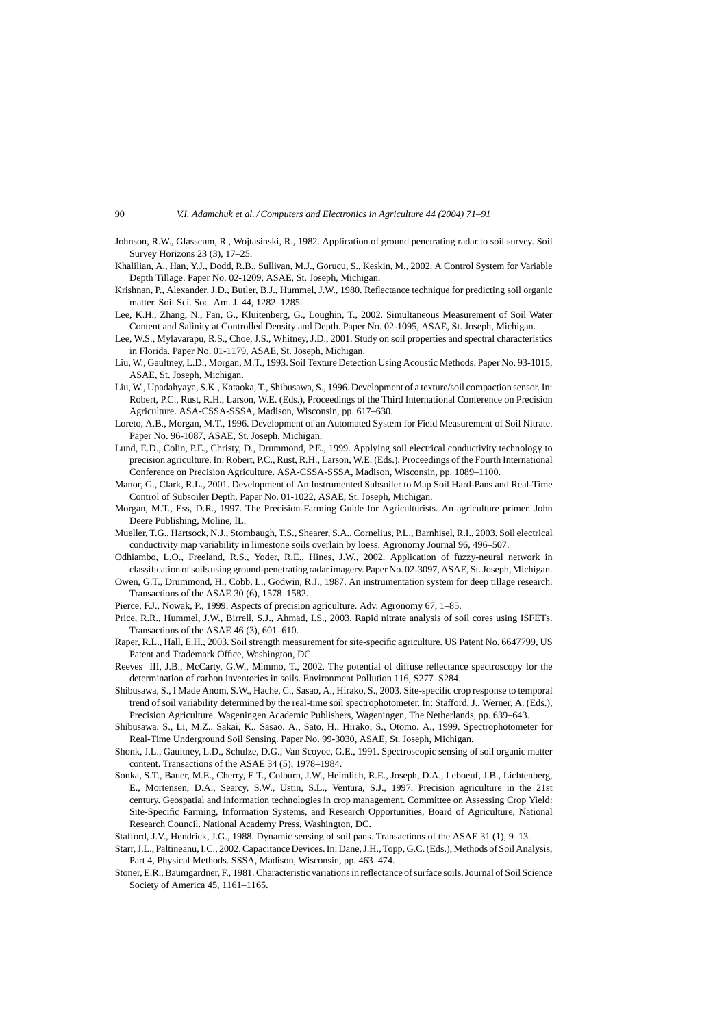- <span id="page-19-0"></span>Johnson, R.W., Glasscum, R., Wojtasinski, R., 1982. Application of ground penetrating radar to soil survey. Soil Survey Horizons 23 (3), 17–25.
- Khalilian, A., Han, Y.J., Dodd, R.B., Sullivan, M.J., Gorucu, S., Keskin, M., 2002. A Control System for Variable Depth Tillage. Paper No. 02-1209, ASAE, St. Joseph, Michigan.
- Krishnan, P., Alexander, J.D., Butler, B.J., Hummel, J.W., 1980. Reflectance technique for predicting soil organic matter. Soil Sci. Soc. Am. J. 44, 1282–1285.
- Lee, K.H., Zhang, N., Fan, G., Kluitenberg, G., Loughin, T., 2002. Simultaneous Measurement of Soil Water Content and Salinity at Controlled Density and Depth. Paper No. 02-1095, ASAE, St. Joseph, Michigan.
- Lee, W.S., Mylavarapu, R.S., Choe, J.S., Whitney, J.D., 2001. Study on soil properties and spectral characteristics in Florida. Paper No. 01-1179, ASAE, St. Joseph, Michigan.
- Liu, W., Gaultney, L.D., Morgan, M.T., 1993. Soil Texture Detection Using Acoustic Methods. Paper No. 93-1015, ASAE, St. Joseph, Michigan.
- Liu, W., Upadahyaya, S.K., Kataoka, T., Shibusawa, S., 1996. Development of a texture/soil compaction sensor. In: Robert, P.C., Rust, R.H., Larson, W.E. (Eds.), Proceedings of the Third International Conference on Precision Agriculture. ASA-CSSA-SSSA, Madison, Wisconsin, pp. 617–630.
- Loreto, A.B., Morgan, M.T., 1996. Development of an Automated System for Field Measurement of Soil Nitrate. Paper No. 96-1087, ASAE, St. Joseph, Michigan.
- Lund, E.D., Colin, P.E., Christy, D., Drummond, P.E., 1999. Applying soil electrical conductivity technology to precision agriculture. In: Robert, P.C., Rust, R.H., Larson, W.E. (Eds.), Proceedings of the Fourth International Conference on Precision Agriculture. ASA-CSSA-SSSA, Madison, Wisconsin, pp. 1089–1100.
- Manor, G., Clark, R.L., 2001. Development of An Instrumented Subsoiler to Map Soil Hard-Pans and Real-Time Control of Subsoiler Depth. Paper No. 01-1022, ASAE, St. Joseph, Michigan.
- Morgan, M.T., Ess, D.R., 1997. The Precision-Farming Guide for Agriculturists. An agriculture primer. John Deere Publishing, Moline, IL.
- Mueller, T.G., Hartsock, N.J., Stombaugh, T.S., Shearer, S.A., Cornelius, P.L., Barnhisel, R.I., 2003. Soil electrical conductivity map variability in limestone soils overlain by loess. Agronomy Journal 96, 496–507.
- Odhiambo, L.O., Freeland, R.S., Yoder, R.E., Hines, J.W., 2002. Application of fuzzy-neural network in classification of soils using ground-penetrating radar imagery. Paper No. 02-3097, ASAE, St. Joseph, Michigan.
- Owen, G.T., Drummond, H., Cobb, L., Godwin, R.J., 1987. An instrumentation system for deep tillage research. Transactions of the ASAE 30 (6), 1578–1582.
- Pierce, F.J., Nowak, P., 1999. Aspects of precision agriculture. Adv. Agronomy 67, 1–85.
- Price, R.R., Hummel, J.W., Birrell, S.J., Ahmad, I.S., 2003. Rapid nitrate analysis of soil cores using ISFETs. Transactions of the ASAE 46 (3), 601–610.
- Raper, R.L., Hall, E.H., 2003. Soil strength measurement for site-specific agriculture. US Patent No. 6647799, US Patent and Trademark Office, Washington, DC.
- Reeves III, J.B., McCarty, G.W., Mimmo, T., 2002. The potential of diffuse reflectance spectroscopy for the determination of carbon inventories in soils. Environment Pollution 116, S277–S284.
- Shibusawa, S., I Made Anom, S.W., Hache, C., Sasao, A., Hirako, S., 2003. Site-specific crop response to temporal trend of soil variability determined by the real-time soil spectrophotometer. In: Stafford, J., Werner, A. (Eds.), Precision Agriculture. Wageningen Academic Publishers, Wageningen, The Netherlands, pp. 639–643.
- Shibusawa, S., Li, M.Z., Sakai, K., Sasao, A., Sato, H., Hirako, S., Otomo, A., 1999. Spectrophotometer for Real-Time Underground Soil Sensing. Paper No. 99-3030, ASAE, St. Joseph, Michigan.
- Shonk, J.L., Gaultney, L.D., Schulze, D.G., Van Scoyoc, G.E., 1991. Spectroscopic sensing of soil organic matter content. Transactions of the ASAE 34 (5), 1978–1984.
- Sonka, S.T., Bauer, M.E., Cherry, E.T., Colburn, J.W., Heimlich, R.E., Joseph, D.A., Leboeuf, J.B., Lichtenberg, E., Mortensen, D.A., Searcy, S.W., Ustin, S.L., Ventura, S.J., 1997. Precision agriculture in the 21st century. Geospatial and information technologies in crop management. Committee on Assessing Crop Yield: Site-Specific Farming, Information Systems, and Research Opportunities, Board of Agriculture, National Research Council. National Academy Press, Washington, DC.
- Stafford, J.V., Hendrick, J.G., 1988. Dynamic sensing of soil pans. Transactions of the ASAE 31 (1), 9–13.
- Starr, J.L., Paltineanu, I.C., 2002. Capacitance Devices. In: Dane, J.H., Topp, G.C. (Eds.), Methods of Soil Analysis, Part 4, Physical Methods. SSSA, Madison, Wisconsin, pp. 463–474.
- Stoner, E.R., Baumgardner, F., 1981. Characteristic variations in reflectance of surface soils. Journal of Soil Science Society of America 45, 1161–1165.